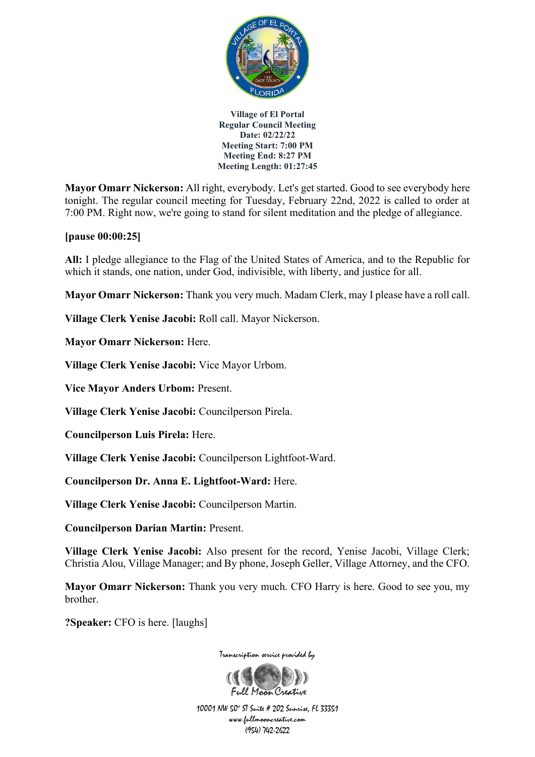

**Mayor Omarr Nickerson:** All right, everybody. Let's get started. Good to see everybody here tonight. The regular council meeting for Tuesday, February 22nd, 2022 is called to order at 7:00 PM. Right now, we're going to stand for silent meditation and the pledge of allegiance.

## **[pause 00:00:25]**

**All:** I pledge allegiance to the Flag of the United States of America, and to the Republic for which it stands, one nation, under God, indivisible, with liberty, and justice for all.

**Mayor Omarr Nickerson:** Thank you very much. Madam Clerk, may I please have a roll call.

**Village Clerk Yenise Jacobi:** Roll call. Mayor Nickerson.

**Mayor Omarr Nickerson:** Here.

**Village Clerk Yenise Jacobi:** Vice Mayor Urbom.

**Vice Mayor Anders Urbom:** Present.

**Village Clerk Yenise Jacobi:** Councilperson Pirela.

**Councilperson Luis Pirela:** Here.

**Village Clerk Yenise Jacobi:** Councilperson Lightfoot-Ward.

**Councilperson Dr. Anna E. Lightfoot-Ward:** Here.

**Village Clerk Yenise Jacobi:** Councilperson Martin.

**Councilperson Darian Martin:** Present.

**Village Clerk Yenise Jacobi:** Also present for the record, Yenise Jacobi, Village Clerk; Christia Alou, Village Manager; and By phone, Joseph Geller, Village Attorney, and the CFO.

**Mayor Omarr Nickerson:** Thank you very much. CFO Harry is here. Good to see you, my brother.

**?Speaker:** CFO is here. [laughs]

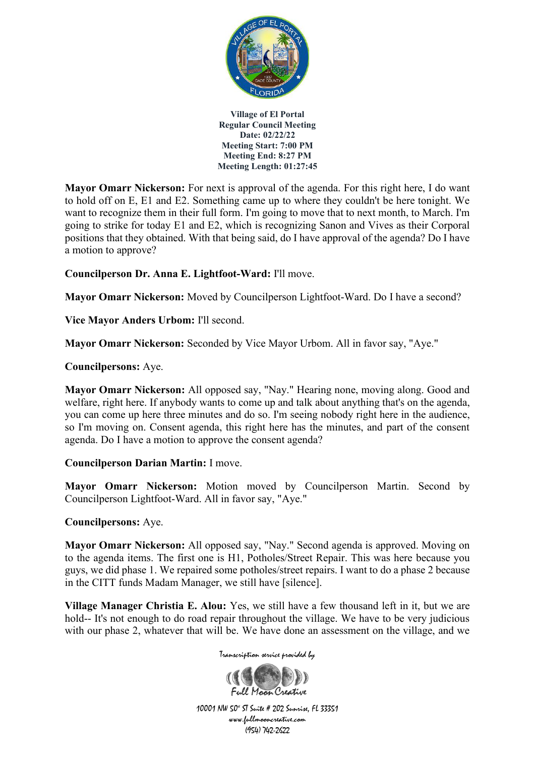

**Mayor Omarr Nickerson:** For next is approval of the agenda. For this right here, I do want to hold off on E, E1 and E2. Something came up to where they couldn't be here tonight. We want to recognize them in their full form. I'm going to move that to next month, to March. I'm going to strike for today E1 and E2, which is recognizing Sanon and Vives as their Corporal positions that they obtained. With that being said, do I have approval of the agenda? Do I have a motion to approve?

**Councilperson Dr. Anna E. Lightfoot-Ward:** I'll move.

**Mayor Omarr Nickerson:** Moved by Councilperson Lightfoot-Ward. Do I have a second?

**Vice Mayor Anders Urbom:** I'll second.

**Mayor Omarr Nickerson:** Seconded by Vice Mayor Urbom. All in favor say, "Aye."

**Councilpersons:** Aye.

**Mayor Omarr Nickerson:** All opposed say, "Nay." Hearing none, moving along. Good and welfare, right here. If anybody wants to come up and talk about anything that's on the agenda, you can come up here three minutes and do so. I'm seeing nobody right here in the audience, so I'm moving on. Consent agenda, this right here has the minutes, and part of the consent agenda. Do I have a motion to approve the consent agenda?

## **Councilperson Darian Martin:** I move.

**Mayor Omarr Nickerson:** Motion moved by Councilperson Martin. Second by Councilperson Lightfoot-Ward. All in favor say, "Aye."

## **Councilpersons:** Aye.

**Mayor Omarr Nickerson:** All opposed say, "Nay." Second agenda is approved. Moving on to the agenda items. The first one is H1, Potholes/Street Repair. This was here because you guys, we did phase 1. We repaired some potholes/street repairs. I want to do a phase 2 because in the CITT funds Madam Manager, we still have [silence].

**Village Manager Christia E. Alou:** Yes, we still have a few thousand left in it, but we are hold-- It's not enough to do road repair throughout the village. We have to be very judicious with our phase 2, whatever that will be. We have done an assessment on the village, and we

Transcription service provided by

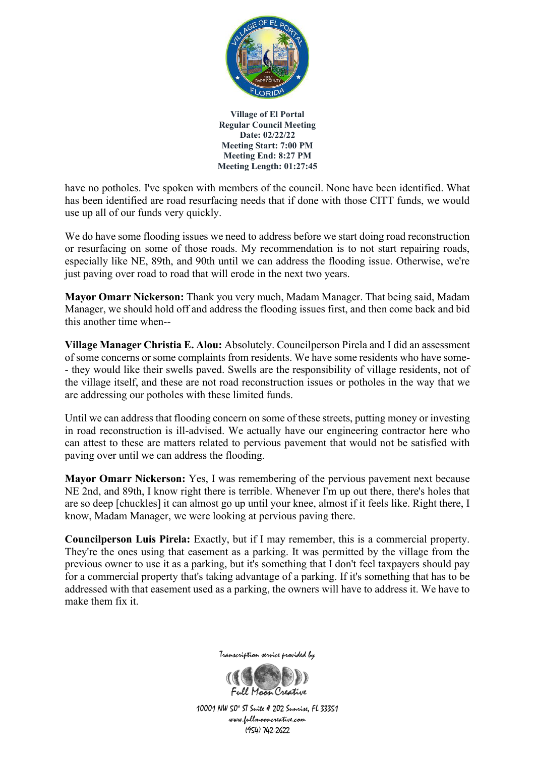

have no potholes. I've spoken with members of the council. None have been identified. What has been identified are road resurfacing needs that if done with those CITT funds, we would use up all of our funds very quickly.

We do have some flooding issues we need to address before we start doing road reconstruction or resurfacing on some of those roads. My recommendation is to not start repairing roads, especially like NE, 89th, and 90th until we can address the flooding issue. Otherwise, we're just paving over road to road that will erode in the next two years.

**Mayor Omarr Nickerson:** Thank you very much, Madam Manager. That being said, Madam Manager, we should hold off and address the flooding issues first, and then come back and bid this another time when--

**Village Manager Christia E. Alou:** Absolutely. Councilperson Pirela and I did an assessment of some concerns or some complaints from residents. We have some residents who have some- - they would like their swells paved. Swells are the responsibility of village residents, not of the village itself, and these are not road reconstruction issues or potholes in the way that we are addressing our potholes with these limited funds.

Until we can address that flooding concern on some of these streets, putting money or investing in road reconstruction is ill-advised. We actually have our engineering contractor here who can attest to these are matters related to pervious pavement that would not be satisfied with paving over until we can address the flooding.

**Mayor Omarr Nickerson:** Yes, I was remembering of the pervious pavement next because NE 2nd, and 89th, I know right there is terrible. Whenever I'm up out there, there's holes that are so deep [chuckles] it can almost go up until your knee, almost if it feels like. Right there, I know, Madam Manager, we were looking at pervious paving there.

**Councilperson Luis Pirela:** Exactly, but if I may remember, this is a commercial property. They're the ones using that easement as a parking. It was permitted by the village from the previous owner to use it as a parking, but it's something that I don't feel taxpayers should pay for a commercial property that's taking advantage of a parking. If it's something that has to be addressed with that easement used as a parking, the owners will have to address it. We have to make them fix it.



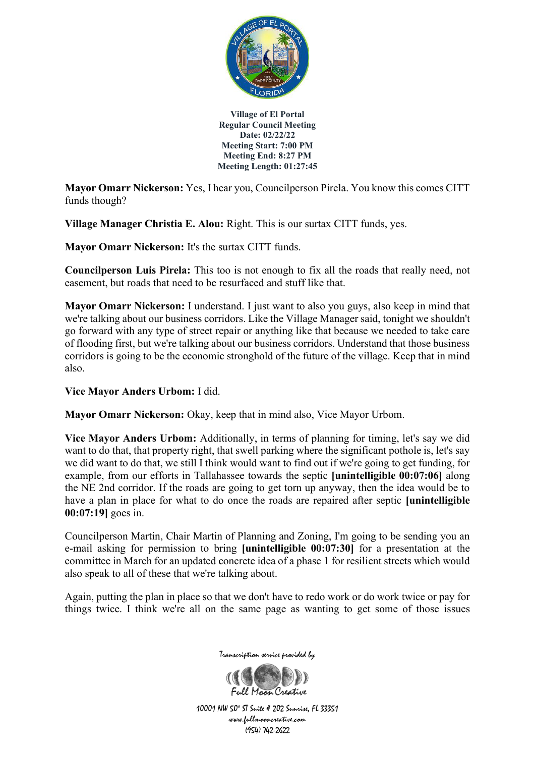

**Mayor Omarr Nickerson:** Yes, I hear you, Councilperson Pirela. You know this comes CITT funds though?

**Village Manager Christia E. Alou:** Right. This is our surtax CITT funds, yes.

**Mayor Omarr Nickerson:** It's the surtax CITT funds.

**Councilperson Luis Pirela:** This too is not enough to fix all the roads that really need, not easement, but roads that need to be resurfaced and stuff like that.

**Mayor Omarr Nickerson:** I understand. I just want to also you guys, also keep in mind that we're talking about our business corridors. Like the Village Manager said, tonight we shouldn't go forward with any type of street repair or anything like that because we needed to take care of flooding first, but we're talking about our business corridors. Understand that those business corridors is going to be the economic stronghold of the future of the village. Keep that in mind also.

**Vice Mayor Anders Urbom:** I did.

**Mayor Omarr Nickerson:** Okay, keep that in mind also, Vice Mayor Urbom.

**Vice Mayor Anders Urbom:** Additionally, in terms of planning for timing, let's say we did want to do that, that property right, that swell parking where the significant pothole is, let's say we did want to do that, we still I think would want to find out if we're going to get funding, for example, from our efforts in Tallahassee towards the septic **[unintelligible 00:07:06]** along the NE 2nd corridor. If the roads are going to get torn up anyway, then the idea would be to have a plan in place for what to do once the roads are repaired after septic **[unintelligible 00:07:19]** goes in.

Councilperson Martin, Chair Martin of Planning and Zoning, I'm going to be sending you an e-mail asking for permission to bring **[unintelligible 00:07:30]** for a presentation at the committee in March for an updated concrete idea of a phase 1 for resilient streets which would also speak to all of these that we're talking about.

Again, putting the plan in place so that we don't have to redo work or do work twice or pay for things twice. I think we're all on the same page as wanting to get some of those issues



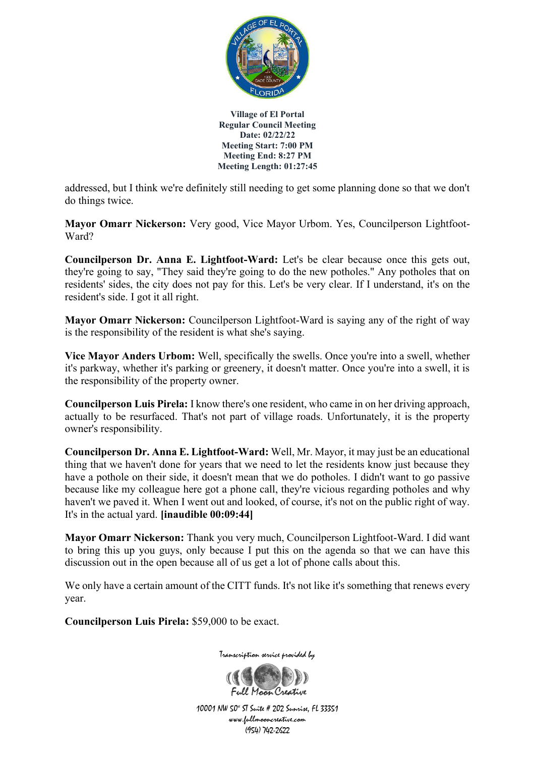

addressed, but I think we're definitely still needing to get some planning done so that we don't do things twice.

**Mayor Omarr Nickerson:** Very good, Vice Mayor Urbom. Yes, Councilperson Lightfoot-Ward?

**Councilperson Dr. Anna E. Lightfoot-Ward:** Let's be clear because once this gets out, they're going to say, "They said they're going to do the new potholes." Any potholes that on residents' sides, the city does not pay for this. Let's be very clear. If I understand, it's on the resident's side. I got it all right.

**Mayor Omarr Nickerson:** Councilperson Lightfoot-Ward is saying any of the right of way is the responsibility of the resident is what she's saying.

**Vice Mayor Anders Urbom:** Well, specifically the swells. Once you're into a swell, whether it's parkway, whether it's parking or greenery, it doesn't matter. Once you're into a swell, it is the responsibility of the property owner.

**Councilperson Luis Pirela:** I know there's one resident, who came in on her driving approach, actually to be resurfaced. That's not part of village roads. Unfortunately, it is the property owner's responsibility.

**Councilperson Dr. Anna E. Lightfoot-Ward:** Well, Mr. Mayor, it may just be an educational thing that we haven't done for years that we need to let the residents know just because they have a pothole on their side, it doesn't mean that we do potholes. I didn't want to go passive because like my colleague here got a phone call, they're vicious regarding potholes and why haven't we paved it. When I went out and looked, of course, it's not on the public right of way. It's in the actual yard. **[inaudible 00:09:44]**

**Mayor Omarr Nickerson:** Thank you very much, Councilperson Lightfoot-Ward. I did want to bring this up you guys, only because I put this on the agenda so that we can have this discussion out in the open because all of us get a lot of phone calls about this.

We only have a certain amount of the CITT funds. It's not like it's something that renews every year.

**Councilperson Luis Pirela:** \$59,000 to be exact.



Transcription service provided by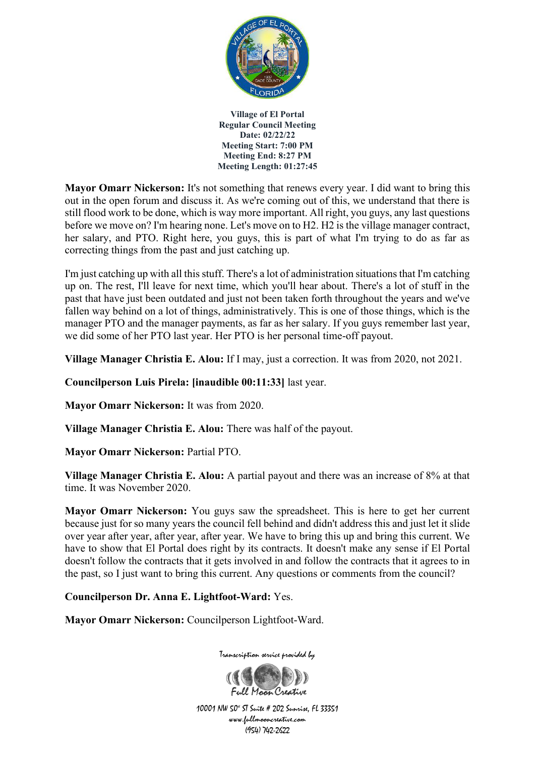

**Mayor Omarr Nickerson:** It's not something that renews every year. I did want to bring this out in the open forum and discuss it. As we're coming out of this, we understand that there is still flood work to be done, which is way more important. All right, you guys, any last questions before we move on? I'm hearing none. Let's move on to H2. H2 is the village manager contract, her salary, and PTO. Right here, you guys, this is part of what I'm trying to do as far as correcting things from the past and just catching up.

I'm just catching up with all this stuff. There's a lot of administration situations that I'm catching up on. The rest, I'll leave for next time, which you'll hear about. There's a lot of stuff in the past that have just been outdated and just not been taken forth throughout the years and we've fallen way behind on a lot of things, administratively. This is one of those things, which is the manager PTO and the manager payments, as far as her salary. If you guys remember last year, we did some of her PTO last year. Her PTO is her personal time-off payout.

**Village Manager Christia E. Alou:** If I may, just a correction. It was from 2020, not 2021.

**Councilperson Luis Pirela: [inaudible 00:11:33]** last year.

**Mayor Omarr Nickerson:** It was from 2020.

**Village Manager Christia E. Alou:** There was half of the payout.

**Mayor Omarr Nickerson:** Partial PTO.

**Village Manager Christia E. Alou:** A partial payout and there was an increase of 8% at that time. It was November 2020.

**Mayor Omarr Nickerson:** You guys saw the spreadsheet. This is here to get her current because just for so many years the council fell behind and didn't address this and just let it slide over year after year, after year, after year. We have to bring this up and bring this current. We have to show that El Portal does right by its contracts. It doesn't make any sense if El Portal doesn't follow the contracts that it gets involved in and follow the contracts that it agrees to in the past, so I just want to bring this current. Any questions or comments from the council?

**Councilperson Dr. Anna E. Lightfoot-Ward:** Yes.

**Mayor Omarr Nickerson:** Councilperson Lightfoot-Ward.



Transcription service provided by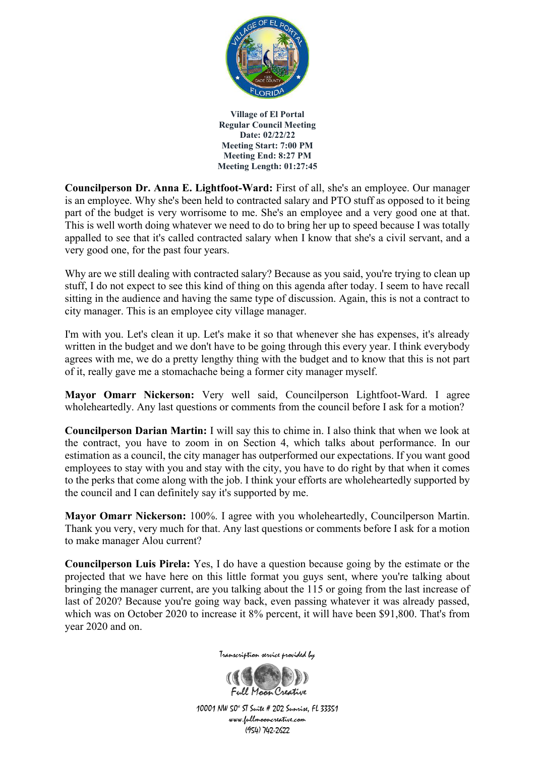

**Councilperson Dr. Anna E. Lightfoot-Ward:** First of all, she's an employee. Our manager is an employee. Why she's been held to contracted salary and PTO stuff as opposed to it being part of the budget is very worrisome to me. She's an employee and a very good one at that. This is well worth doing whatever we need to do to bring her up to speed because I was totally appalled to see that it's called contracted salary when I know that she's a civil servant, and a very good one, for the past four years.

Why are we still dealing with contracted salary? Because as you said, you're trying to clean up stuff, I do not expect to see this kind of thing on this agenda after today. I seem to have recall sitting in the audience and having the same type of discussion. Again, this is not a contract to city manager. This is an employee city village manager.

I'm with you. Let's clean it up. Let's make it so that whenever she has expenses, it's already written in the budget and we don't have to be going through this every year. I think everybody agrees with me, we do a pretty lengthy thing with the budget and to know that this is not part of it, really gave me a stomachache being a former city manager myself.

**Mayor Omarr Nickerson:** Very well said, Councilperson Lightfoot-Ward. I agree wholeheartedly. Any last questions or comments from the council before I ask for a motion?

**Councilperson Darian Martin:** I will say this to chime in. I also think that when we look at the contract, you have to zoom in on Section 4, which talks about performance. In our estimation as a council, the city manager has outperformed our expectations. If you want good employees to stay with you and stay with the city, you have to do right by that when it comes to the perks that come along with the job. I think your efforts are wholeheartedly supported by the council and I can definitely say it's supported by me.

**Mayor Omarr Nickerson:** 100%. I agree with you wholeheartedly, Councilperson Martin. Thank you very, very much for that. Any last questions or comments before I ask for a motion to make manager Alou current?

**Councilperson Luis Pirela:** Yes, I do have a question because going by the estimate or the projected that we have here on this little format you guys sent, where you're talking about bringing the manager current, are you talking about the 115 or going from the last increase of last of 2020? Because you're going way back, even passing whatever it was already passed, which was on October 2020 to increase it 8% percent, it will have been \$91,800. That's from year 2020 and on.



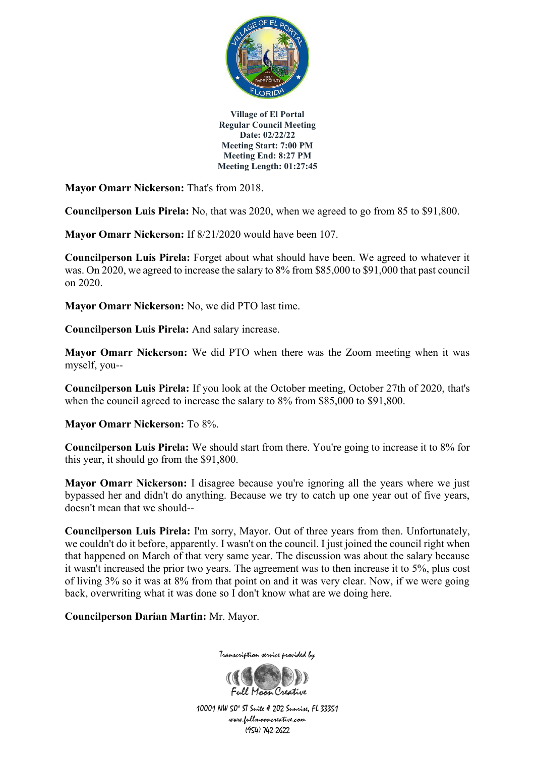

**Mayor Omarr Nickerson:** That's from 2018.

**Councilperson Luis Pirela:** No, that was 2020, when we agreed to go from 85 to \$91,800.

**Mayor Omarr Nickerson:** If 8/21/2020 would have been 107.

**Councilperson Luis Pirela:** Forget about what should have been. We agreed to whatever it was. On 2020, we agreed to increase the salary to 8% from \$85,000 to \$91,000 that past council on 2020.

**Mayor Omarr Nickerson:** No, we did PTO last time.

**Councilperson Luis Pirela:** And salary increase.

**Mayor Omarr Nickerson:** We did PTO when there was the Zoom meeting when it was myself, you--

**Councilperson Luis Pirela:** If you look at the October meeting, October 27th of 2020, that's when the council agreed to increase the salary to 8% from \$85,000 to \$91,800.

**Mayor Omarr Nickerson:** To 8%.

**Councilperson Luis Pirela:** We should start from there. You're going to increase it to 8% for this year, it should go from the \$91,800.

**Mayor Omarr Nickerson:** I disagree because you're ignoring all the years where we just bypassed her and didn't do anything. Because we try to catch up one year out of five years, doesn't mean that we should--

**Councilperson Luis Pirela:** I'm sorry, Mayor. Out of three years from then. Unfortunately, we couldn't do it before, apparently. I wasn't on the council. I just joined the council right when that happened on March of that very same year. The discussion was about the salary because it wasn't increased the prior two years. The agreement was to then increase it to 5%, plus cost of living 3% so it was at 8% from that point on and it was very clear. Now, if we were going back, overwriting what it was done so I don't know what are we doing here.

**Councilperson Darian Martin:** Mr. Mayor.



Transcription service provided by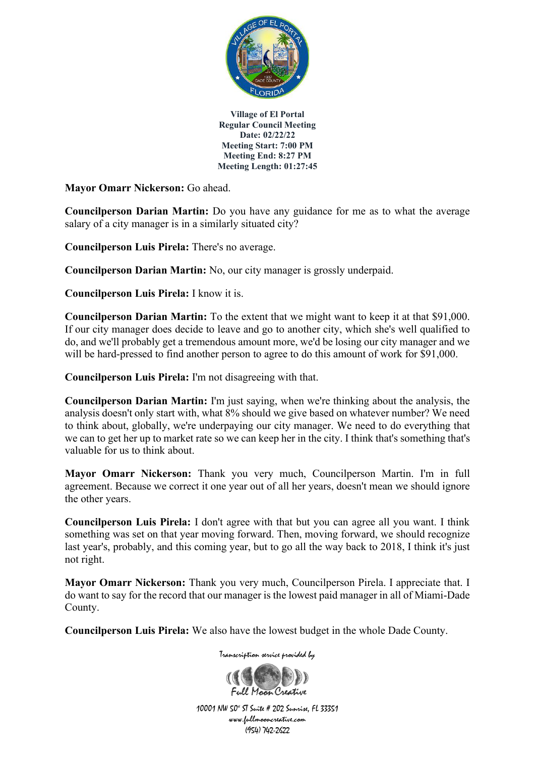

**Mayor Omarr Nickerson:** Go ahead.

**Councilperson Darian Martin:** Do you have any guidance for me as to what the average salary of a city manager is in a similarly situated city?

**Councilperson Luis Pirela:** There's no average.

**Councilperson Darian Martin:** No, our city manager is grossly underpaid.

**Councilperson Luis Pirela:** I know it is.

**Councilperson Darian Martin:** To the extent that we might want to keep it at that \$91,000. If our city manager does decide to leave and go to another city, which she's well qualified to do, and we'll probably get a tremendous amount more, we'd be losing our city manager and we will be hard-pressed to find another person to agree to do this amount of work for \$91,000.

**Councilperson Luis Pirela:** I'm not disagreeing with that.

**Councilperson Darian Martin:** I'm just saying, when we're thinking about the analysis, the analysis doesn't only start with, what 8% should we give based on whatever number? We need to think about, globally, we're underpaying our city manager. We need to do everything that we can to get her up to market rate so we can keep her in the city. I think that's something that's valuable for us to think about.

**Mayor Omarr Nickerson:** Thank you very much, Councilperson Martin. I'm in full agreement. Because we correct it one year out of all her years, doesn't mean we should ignore the other years.

**Councilperson Luis Pirela:** I don't agree with that but you can agree all you want. I think something was set on that year moving forward. Then, moving forward, we should recognize last year's, probably, and this coming year, but to go all the way back to 2018, I think it's just not right.

**Mayor Omarr Nickerson:** Thank you very much, Councilperson Pirela. I appreciate that. I do want to say for the record that our manager is the lowest paid manager in all of Miami-Dade County.

**Councilperson Luis Pirela:** We also have the lowest budget in the whole Dade County.

Full Maan Creative

Transcription service provided by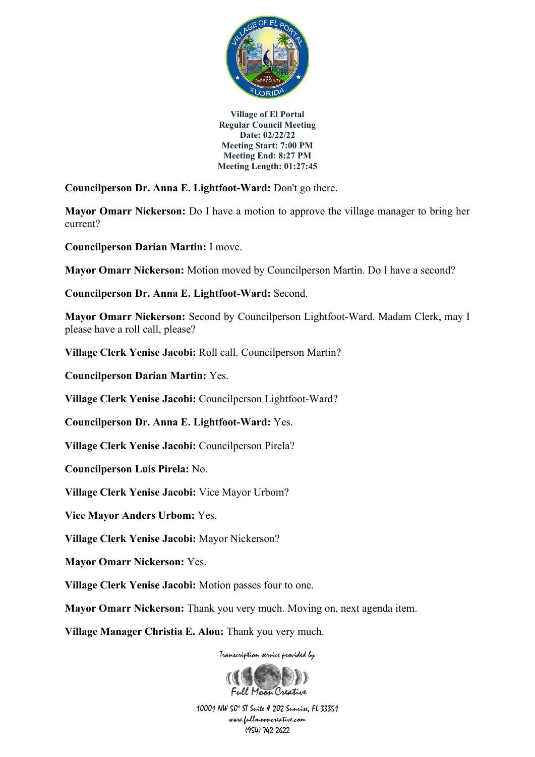

**Councilperson Dr. Anna E. Lightfoot-Ward:** Don't go there.

**Mayor Omarr Nickerson:** Do I have a motion to approve the village manager to bring her current?

**Councilperson Darian Martin:** I move.

**Mayor Omarr Nickerson:** Motion moved by Councilperson Martin. Do I have a second?

**Councilperson Dr. Anna E. Lightfoot-Ward:** Second.

**Mayor Omarr Nickerson:** Second by Councilperson Lightfoot-Ward. Madam Clerk, may I please have a roll call, please?

**Village Clerk Yenise Jacobi:** Roll call. Councilperson Martin?

**Councilperson Darian Martin:** Yes.

**Village Clerk Yenise Jacobi:** Councilperson Lightfoot-Ward?

**Councilperson Dr. Anna E. Lightfoot-Ward:** Yes.

**Village Clerk Yenise Jacobi:** Councilperson Pirela?

**Councilperson Luis Pirela:** No.

**Village Clerk Yenise Jacobi:** Vice Mayor Urbom?

**Vice Mayor Anders Urbom:** Yes.

**Village Clerk Yenise Jacobi:** Mayor Nickerson?

**Mayor Omarr Nickerson:** Yes.

**Village Clerk Yenise Jacobi:** Motion passes four to one.

**Mayor Omarr Nickerson:** Thank you very much. Moving on, next agenda item.

**Village Manager Christia E. Alou:** Thank you very much.

Transcription service provided by

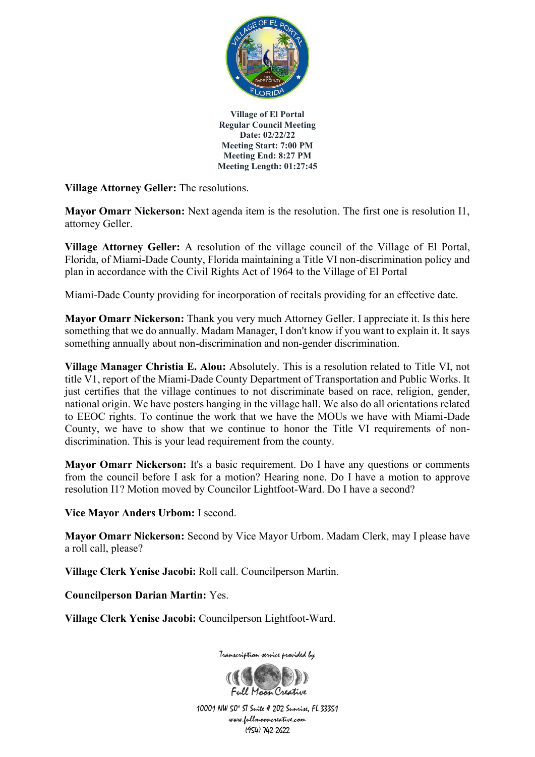

**Village Attorney Geller:** The resolutions.

**Mayor Omarr Nickerson:** Next agenda item is the resolution. The first one is resolution I1, attorney Geller.

**Village Attorney Geller:** A resolution of the village council of the Village of El Portal, Florida, of Miami-Dade County, Florida maintaining a Title VI non-discrimination policy and plan in accordance with the Civil Rights Act of 1964 to the Village of El Portal

Miami-Dade County providing for incorporation of recitals providing for an effective date.

**Mayor Omarr Nickerson:** Thank you very much Attorney Geller. I appreciate it. Is this here something that we do annually. Madam Manager, I don't know if you want to explain it. It says something annually about non-discrimination and non-gender discrimination.

**Village Manager Christia E. Alou:** Absolutely. This is a resolution related to Title VI, not title V1, report of the Miami-Dade County Department of Transportation and Public Works. It just certifies that the village continues to not discriminate based on race, religion, gender, national origin. We have posters hanging in the village hall. We also do all orientations related to EEOC rights. To continue the work that we have the MOUs we have with Miami-Dade County, we have to show that we continue to honor the Title VI requirements of nondiscrimination. This is your lead requirement from the county.

**Mayor Omarr Nickerson:** It's a basic requirement. Do I have any questions or comments from the council before I ask for a motion? Hearing none. Do I have a motion to approve resolution I1? Motion moved by Councilor Lightfoot-Ward. Do I have a second?

**Vice Mayor Anders Urbom:** I second.

**Mayor Omarr Nickerson:** Second by Vice Mayor Urbom. Madam Clerk, may I please have a roll call, please?

**Village Clerk Yenise Jacobi:** Roll call. Councilperson Martin.

**Councilperson Darian Martin:** Yes.

**Village Clerk Yenise Jacobi:** Councilperson Lightfoot-Ward.



10001 NW 50<sup>\*</sup> ST Suite # 202 Sunrise, FL 33351 www.fullmooncreative.com (954) 742-2622

Full Maan Creative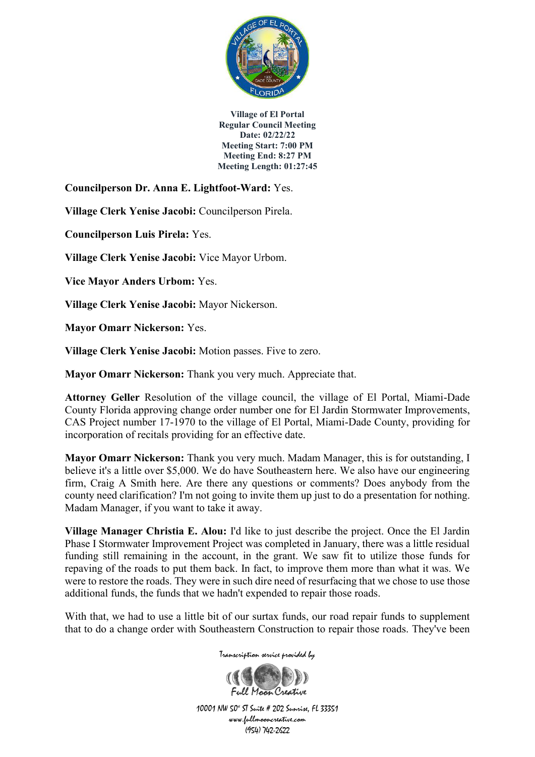

**Councilperson Dr. Anna E. Lightfoot-Ward:** Yes.

**Village Clerk Yenise Jacobi:** Councilperson Pirela.

**Councilperson Luis Pirela:** Yes.

**Village Clerk Yenise Jacobi:** Vice Mayor Urbom.

**Vice Mayor Anders Urbom:** Yes.

**Village Clerk Yenise Jacobi:** Mayor Nickerson.

**Mayor Omarr Nickerson:** Yes.

**Village Clerk Yenise Jacobi:** Motion passes. Five to zero.

**Mayor Omarr Nickerson:** Thank you very much. Appreciate that.

**Attorney Geller** Resolution of the village council, the village of El Portal, Miami-Dade County Florida approving change order number one for El Jardin Stormwater Improvements, CAS Project number 17-1970 to the village of El Portal, Miami-Dade County, providing for incorporation of recitals providing for an effective date.

**Mayor Omarr Nickerson:** Thank you very much. Madam Manager, this is for outstanding, I believe it's a little over \$5,000. We do have Southeastern here. We also have our engineering firm, Craig A Smith here. Are there any questions or comments? Does anybody from the county need clarification? I'm not going to invite them up just to do a presentation for nothing. Madam Manager, if you want to take it away.

**Village Manager Christia E. Alou:** I'd like to just describe the project. Once the El Jardin Phase I Stormwater Improvement Project was completed in January, there was a little residual funding still remaining in the account, in the grant. We saw fit to utilize those funds for repaving of the roads to put them back. In fact, to improve them more than what it was. We were to restore the roads. They were in such dire need of resurfacing that we chose to use those additional funds, the funds that we hadn't expended to repair those roads.

With that, we had to use a little bit of our surtax funds, our road repair funds to supplement that to do a change order with Southeastern Construction to repair those roads. They've been

Transcription service provided by

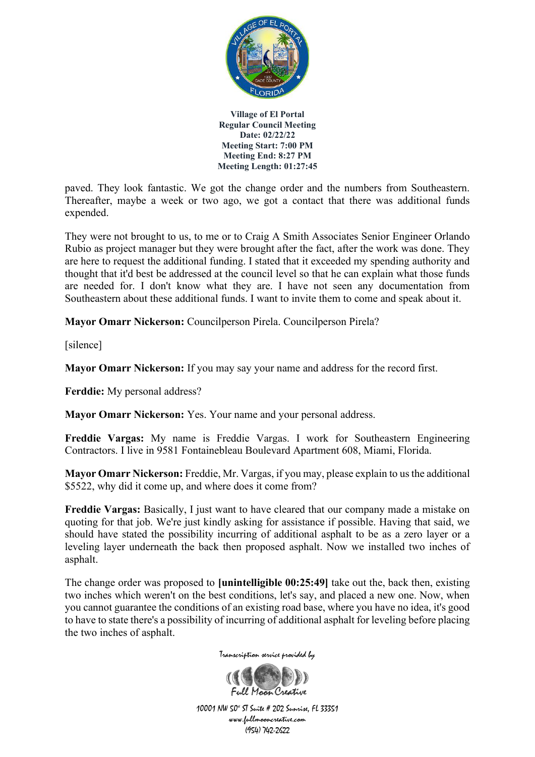

paved. They look fantastic. We got the change order and the numbers from Southeastern. Thereafter, maybe a week or two ago, we got a contact that there was additional funds expended.

They were not brought to us, to me or to Craig A Smith Associates Senior Engineer Orlando Rubio as project manager but they were brought after the fact, after the work was done. They are here to request the additional funding. I stated that it exceeded my spending authority and thought that it'd best be addressed at the council level so that he can explain what those funds are needed for. I don't know what they are. I have not seen any documentation from Southeastern about these additional funds. I want to invite them to come and speak about it.

**Mayor Omarr Nickerson:** Councilperson Pirela. Councilperson Pirela?

[silence]

**Mayor Omarr Nickerson:** If you may say your name and address for the record first.

**Ferddie:** My personal address?

**Mayor Omarr Nickerson:** Yes. Your name and your personal address.

**Freddie Vargas:** My name is Freddie Vargas. I work for Southeastern Engineering Contractors. I live in 9581 Fontainebleau Boulevard Apartment 608, Miami, Florida.

**Mayor Omarr Nickerson:** Freddie, Mr. Vargas, if you may, please explain to us the additional \$5522, why did it come up, and where does it come from?

**Freddie Vargas:** Basically, I just want to have cleared that our company made a mistake on quoting for that job. We're just kindly asking for assistance if possible. Having that said, we should have stated the possibility incurring of additional asphalt to be as a zero layer or a leveling layer underneath the back then proposed asphalt. Now we installed two inches of asphalt.

The change order was proposed to **[unintelligible 00:25:49]** take out the, back then, existing two inches which weren't on the best conditions, let's say, and placed a new one. Now, when you cannot guarantee the conditions of an existing road base, where you have no idea, it's good to have to state there's a possibility of incurring of additional asphalt for leveling before placing the two inches of asphalt.



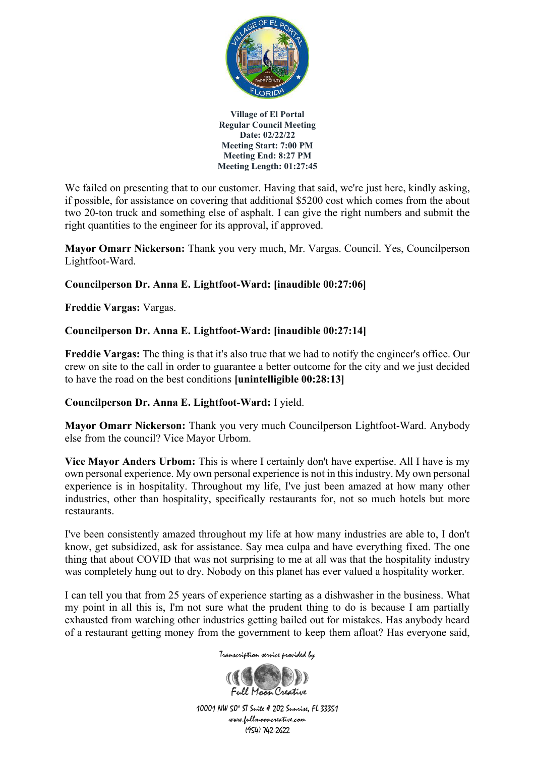

We failed on presenting that to our customer. Having that said, we're just here, kindly asking, if possible, for assistance on covering that additional \$5200 cost which comes from the about two 20-ton truck and something else of asphalt. I can give the right numbers and submit the right quantities to the engineer for its approval, if approved.

**Mayor Omarr Nickerson:** Thank you very much, Mr. Vargas. Council. Yes, Councilperson Lightfoot-Ward.

# **Councilperson Dr. Anna E. Lightfoot-Ward: [inaudible 00:27:06]**

**Freddie Vargas:** Vargas.

# **Councilperson Dr. Anna E. Lightfoot-Ward: [inaudible 00:27:14]**

**Freddie Vargas:** The thing is that it's also true that we had to notify the engineer's office. Our crew on site to the call in order to guarantee a better outcome for the city and we just decided to have the road on the best conditions **[unintelligible 00:28:13]**

## **Councilperson Dr. Anna E. Lightfoot-Ward:** I yield.

**Mayor Omarr Nickerson:** Thank you very much Councilperson Lightfoot-Ward. Anybody else from the council? Vice Mayor Urbom.

**Vice Mayor Anders Urbom:** This is where I certainly don't have expertise. All I have is my own personal experience. My own personal experience is not in this industry. My own personal experience is in hospitality. Throughout my life, I've just been amazed at how many other industries, other than hospitality, specifically restaurants for, not so much hotels but more restaurants.

I've been consistently amazed throughout my life at how many industries are able to, I don't know, get subsidized, ask for assistance. Say mea culpa and have everything fixed. The one thing that about COVID that was not surprising to me at all was that the hospitality industry was completely hung out to dry. Nobody on this planet has ever valued a hospitality worker.

I can tell you that from 25 years of experience starting as a dishwasher in the business. What my point in all this is, I'm not sure what the prudent thing to do is because I am partially exhausted from watching other industries getting bailed out for mistakes. Has anybody heard of a restaurant getting money from the government to keep them afloat? Has everyone said,

Transcription service provided by

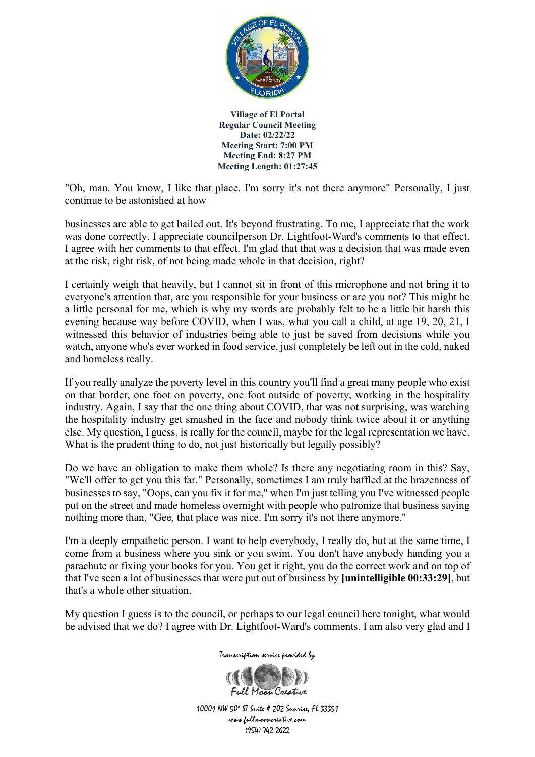

"Oh, man. You know, I like that place. I'm sorry it's not there anymore" Personally, I just continue to be astonished at how

businesses are able to get bailed out. It's beyond frustrating. To me, I appreciate that the work was done correctly. I appreciate councilperson Dr. Lightfoot-Ward's comments to that effect. I agree with her comments to that effect. I'm glad that that was a decision that was made even at the risk, right risk, of not being made whole in that decision, right?

I certainly weigh that heavily, but I cannot sit in front of this microphone and not bring it to everyone's attention that, are you responsible for your business or are you not? This might be a little personal for me, which is why my words are probably felt to be a little bit harsh this evening because way before COVID, when I was, what you call a child, at age 19, 20, 21, I witnessed this behavior of industries being able to just be saved from decisions while you watch, anyone who's ever worked in food service, just completely be left out in the cold, naked and homeless really.

If you really analyze the poverty level in this country you'll find a great many people who exist on that border, one foot on poverty, one foot outside of poverty, working in the hospitality industry. Again, I say that the one thing about COVID, that was not surprising, was watching the hospitality industry get smashed in the face and nobody think twice about it or anything else. My question, I guess, is really for the council, maybe for the legal representation we have. What is the prudent thing to do, not just historically but legally possibly?

Do we have an obligation to make them whole? Is there any negotiating room in this? Say, "We'll offer to get you this far." Personally, sometimes I am truly baffled at the brazenness of businesses to say, "Oops, can you fix it for me," when I'm just telling you I've witnessed people put on the street and made homeless overnight with people who patronize that business saying nothing more than, "Gee, that place was nice. I'm sorry it's not there anymore."

I'm a deeply empathetic person. I want to help everybody, I really do, but at the same time, I come from a business where you sink or you swim. You don't have anybody handing you a parachute or fixing your books for you. You get it right, you do the correct work and on top of that I've seen a lot of businesses that were put out of business by **[unintelligible 00:33:29]**, but that's a whole other situation.

My question I guess is to the council, or perhaps to our legal council here tonight, what would be advised that we do? I agree with Dr. Lightfoot-Ward's comments. I am also very glad and I

Transcription service provided by

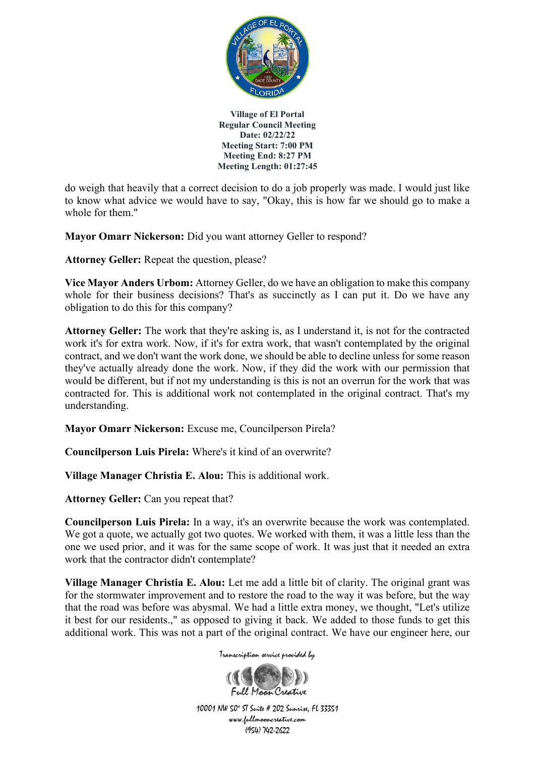

do weigh that heavily that a correct decision to do a job properly was made. I would just like to know what advice we would have to say, "Okay, this is how far we should go to make a whole for them."

**Mayor Omarr Nickerson:** Did you want attorney Geller to respond?

**Attorney Geller:** Repeat the question, please?

**Vice Mayor Anders Urbom:** Attorney Geller, do we have an obligation to make this company whole for their business decisions? That's as succinctly as I can put it. Do we have any obligation to do this for this company?

**Attorney Geller:** The work that they're asking is, as I understand it, is not for the contracted work it's for extra work. Now, if it's for extra work, that wasn't contemplated by the original contract, and we don't want the work done, we should be able to decline unless for some reason they've actually already done the work. Now, if they did the work with our permission that would be different, but if not my understanding is this is not an overrun for the work that was contracted for. This is additional work not contemplated in the original contract. That's my understanding.

**Mayor Omarr Nickerson:** Excuse me, Councilperson Pirela?

**Councilperson Luis Pirela:** Where's it kind of an overwrite?

**Village Manager Christia E. Alou:** This is additional work.

**Attorney Geller:** Can you repeat that?

**Councilperson Luis Pirela:** In a way, it's an overwrite because the work was contemplated. We got a quote, we actually got two quotes. We worked with them, it was a little less than the one we used prior, and it was for the same scope of work. It was just that it needed an extra work that the contractor didn't contemplate?

**Village Manager Christia E. Alou:** Let me add a little bit of clarity. The original grant was for the stormwater improvement and to restore the road to the way it was before, but the way that the road was before was abysmal. We had a little extra money, we thought, "Let's utilize it best for our residents.," as opposed to giving it back. We added to those funds to get this additional work. This was not a part of the original contract. We have our engineer here, our



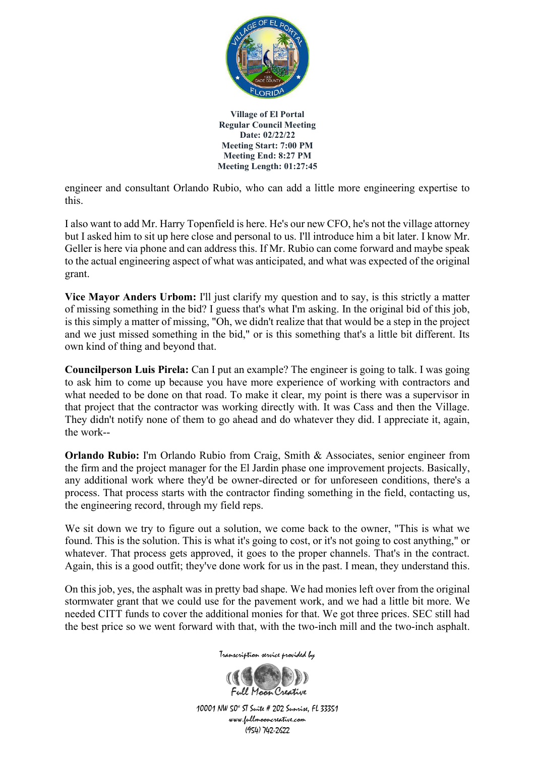

engineer and consultant Orlando Rubio, who can add a little more engineering expertise to this.

I also want to add Mr. Harry Topenfield is here. He's our new CFO, he's not the village attorney but I asked him to sit up here close and personal to us. I'll introduce him a bit later. I know Mr. Geller is here via phone and can address this. If Mr. Rubio can come forward and maybe speak to the actual engineering aspect of what was anticipated, and what was expected of the original grant.

**Vice Mayor Anders Urbom:** I'll just clarify my question and to say, is this strictly a matter of missing something in the bid? I guess that's what I'm asking. In the original bid of this job, is this simply a matter of missing, "Oh, we didn't realize that that would be a step in the project and we just missed something in the bid," or is this something that's a little bit different. Its own kind of thing and beyond that.

**Councilperson Luis Pirela:** Can I put an example? The engineer is going to talk. I was going to ask him to come up because you have more experience of working with contractors and what needed to be done on that road. To make it clear, my point is there was a supervisor in that project that the contractor was working directly with. It was Cass and then the Village. They didn't notify none of them to go ahead and do whatever they did. I appreciate it, again, the work--

**Orlando Rubio:** I'm Orlando Rubio from Craig, Smith & Associates, senior engineer from the firm and the project manager for the El Jardin phase one improvement projects. Basically, any additional work where they'd be owner-directed or for unforeseen conditions, there's a process. That process starts with the contractor finding something in the field, contacting us, the engineering record, through my field reps.

We sit down we try to figure out a solution, we come back to the owner, "This is what we found. This is the solution. This is what it's going to cost, or it's not going to cost anything," or whatever. That process gets approved, it goes to the proper channels. That's in the contract. Again, this is a good outfit; they've done work for us in the past. I mean, they understand this.

On this job, yes, the asphalt was in pretty bad shape. We had monies left over from the original stormwater grant that we could use for the pavement work, and we had a little bit more. We needed CITT funds to cover the additional monies for that. We got three prices. SEC still had the best price so we went forward with that, with the two-inch mill and the two-inch asphalt.

Transcription service provided by

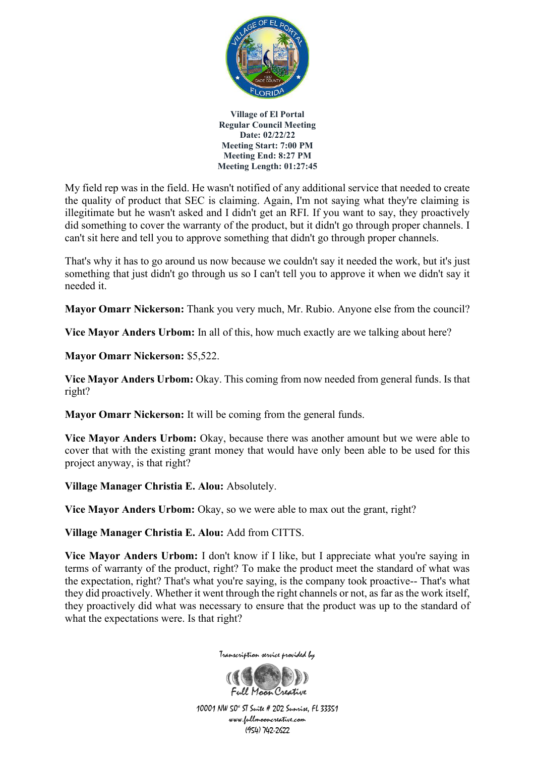

My field rep was in the field. He wasn't notified of any additional service that needed to create the quality of product that SEC is claiming. Again, I'm not saying what they're claiming is illegitimate but he wasn't asked and I didn't get an RFI. If you want to say, they proactively did something to cover the warranty of the product, but it didn't go through proper channels. I can't sit here and tell you to approve something that didn't go through proper channels.

That's why it has to go around us now because we couldn't say it needed the work, but it's just something that just didn't go through us so I can't tell you to approve it when we didn't say it needed it.

**Mayor Omarr Nickerson:** Thank you very much, Mr. Rubio. Anyone else from the council?

**Vice Mayor Anders Urbom:** In all of this, how much exactly are we talking about here?

**Mayor Omarr Nickerson:** \$5,522.

**Vice Mayor Anders Urbom:** Okay. This coming from now needed from general funds. Is that right?

**Mayor Omarr Nickerson:** It will be coming from the general funds.

**Vice Mayor Anders Urbom:** Okay, because there was another amount but we were able to cover that with the existing grant money that would have only been able to be used for this project anyway, is that right?

**Village Manager Christia E. Alou:** Absolutely.

**Vice Mayor Anders Urbom:** Okay, so we were able to max out the grant, right?

**Village Manager Christia E. Alou:** Add from CITTS.

**Vice Mayor Anders Urbom:** I don't know if I like, but I appreciate what you're saying in terms of warranty of the product, right? To make the product meet the standard of what was the expectation, right? That's what you're saying, is the company took proactive-- That's what they did proactively. Whether it went through the right channels or not, as far as the work itself, they proactively did what was necessary to ensure that the product was up to the standard of what the expectations were. Is that right?



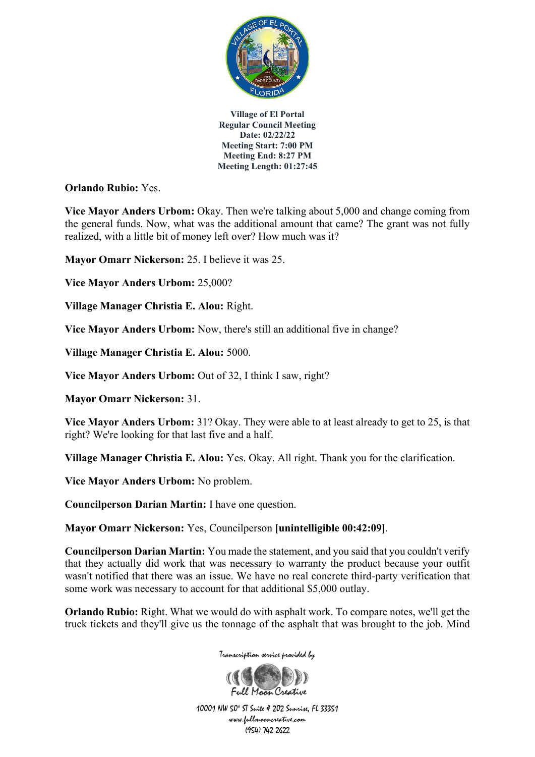

**Orlando Rubio:** Yes.

**Vice Mayor Anders Urbom:** Okay. Then we're talking about 5,000 and change coming from the general funds. Now, what was the additional amount that came? The grant was not fully realized, with a little bit of money left over? How much was it?

**Mayor Omarr Nickerson:** 25. I believe it was 25.

**Vice Mayor Anders Urbom:** 25,000?

**Village Manager Christia E. Alou:** Right.

**Vice Mayor Anders Urbom:** Now, there's still an additional five in change?

**Village Manager Christia E. Alou:** 5000.

**Vice Mayor Anders Urbom:** Out of 32, I think I saw, right?

**Mayor Omarr Nickerson:** 31.

**Vice Mayor Anders Urbom:** 31? Okay. They were able to at least already to get to 25, is that right? We're looking for that last five and a half.

**Village Manager Christia E. Alou:** Yes. Okay. All right. Thank you for the clarification.

**Vice Mayor Anders Urbom:** No problem.

**Councilperson Darian Martin:** I have one question.

**Mayor Omarr Nickerson:** Yes, Councilperson **[unintelligible 00:42:09]**.

**Councilperson Darian Martin:** You made the statement, and you said that you couldn't verify that they actually did work that was necessary to warranty the product because your outfit wasn't notified that there was an issue. We have no real concrete third-party verification that some work was necessary to account for that additional \$5,000 outlay.

**Orlando Rubio:** Right. What we would do with asphalt work. To compare notes, we'll get the truck tickets and they'll give us the tonnage of the asphalt that was brought to the job. Mind



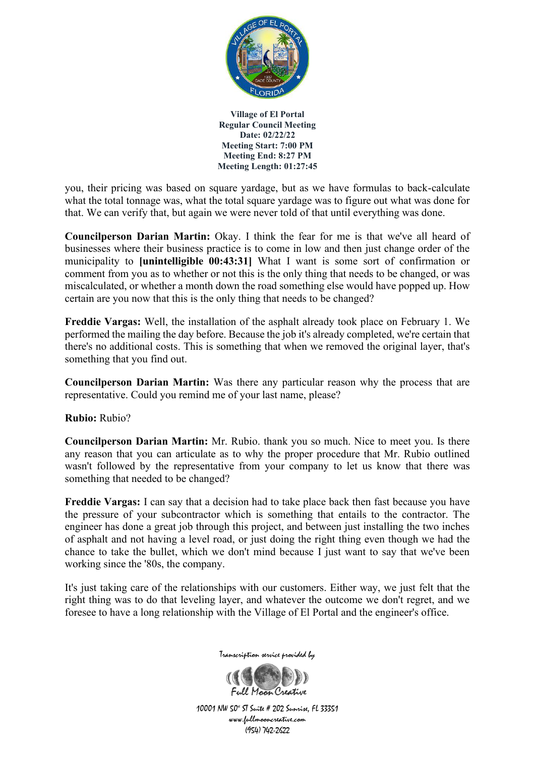

you, their pricing was based on square yardage, but as we have formulas to back-calculate what the total tonnage was, what the total square yardage was to figure out what was done for that. We can verify that, but again we were never told of that until everything was done.

**Councilperson Darian Martin:** Okay. I think the fear for me is that we've all heard of businesses where their business practice is to come in low and then just change order of the municipality to **[unintelligible 00:43:31]** What I want is some sort of confirmation or comment from you as to whether or not this is the only thing that needs to be changed, or was miscalculated, or whether a month down the road something else would have popped up. How certain are you now that this is the only thing that needs to be changed?

**Freddie Vargas:** Well, the installation of the asphalt already took place on February 1. We performed the mailing the day before. Because the job it's already completed, we're certain that there's no additional costs. This is something that when we removed the original layer, that's something that you find out.

**Councilperson Darian Martin:** Was there any particular reason why the process that are representative. Could you remind me of your last name, please?

**Rubio:** Rubio?

**Councilperson Darian Martin:** Mr. Rubio. thank you so much. Nice to meet you. Is there any reason that you can articulate as to why the proper procedure that Mr. Rubio outlined wasn't followed by the representative from your company to let us know that there was something that needed to be changed?

**Freddie Vargas:** I can say that a decision had to take place back then fast because you have the pressure of your subcontractor which is something that entails to the contractor. The engineer has done a great job through this project, and between just installing the two inches of asphalt and not having a level road, or just doing the right thing even though we had the chance to take the bullet, which we don't mind because I just want to say that we've been working since the '80s, the company.

It's just taking care of the relationships with our customers. Either way, we just felt that the right thing was to do that leveling layer, and whatever the outcome we don't regret, and we foresee to have a long relationship with the Village of El Portal and the engineer's office.



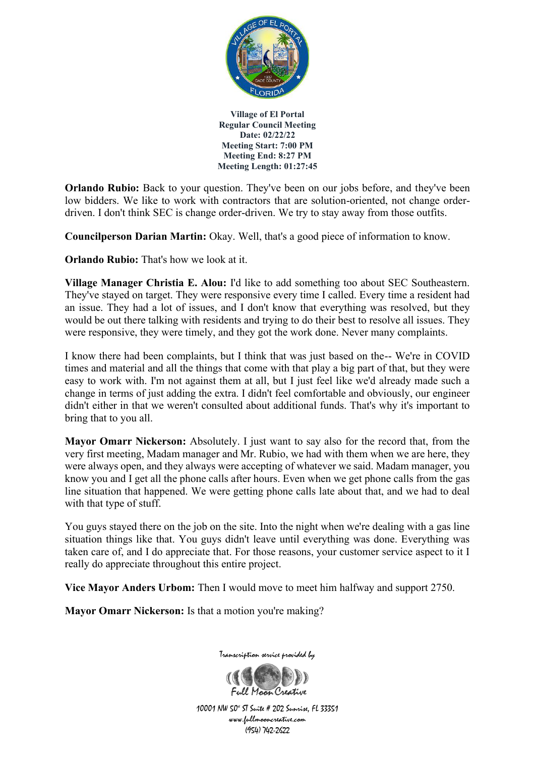

**Orlando Rubio:** Back to your question. They've been on our jobs before, and they've been low bidders. We like to work with contractors that are solution-oriented, not change orderdriven. I don't think SEC is change order-driven. We try to stay away from those outfits.

**Councilperson Darian Martin:** Okay. Well, that's a good piece of information to know.

**Orlando Rubio:** That's how we look at it.

**Village Manager Christia E. Alou:** I'd like to add something too about SEC Southeastern. They've stayed on target. They were responsive every time I called. Every time a resident had an issue. They had a lot of issues, and I don't know that everything was resolved, but they would be out there talking with residents and trying to do their best to resolve all issues. They were responsive, they were timely, and they got the work done. Never many complaints.

I know there had been complaints, but I think that was just based on the-- We're in COVID times and material and all the things that come with that play a big part of that, but they were easy to work with. I'm not against them at all, but I just feel like we'd already made such a change in terms of just adding the extra. I didn't feel comfortable and obviously, our engineer didn't either in that we weren't consulted about additional funds. That's why it's important to bring that to you all.

**Mayor Omarr Nickerson:** Absolutely. I just want to say also for the record that, from the very first meeting, Madam manager and Mr. Rubio, we had with them when we are here, they were always open, and they always were accepting of whatever we said. Madam manager, you know you and I get all the phone calls after hours. Even when we get phone calls from the gas line situation that happened. We were getting phone calls late about that, and we had to deal with that type of stuff.

You guys stayed there on the job on the site. Into the night when we're dealing with a gas line situation things like that. You guys didn't leave until everything was done. Everything was taken care of, and I do appreciate that. For those reasons, your customer service aspect to it I really do appreciate throughout this entire project.

**Vice Mayor Anders Urbom:** Then I would move to meet him halfway and support 2750.

**Mayor Omarr Nickerson:** Is that a motion you're making?



Transcription service provided by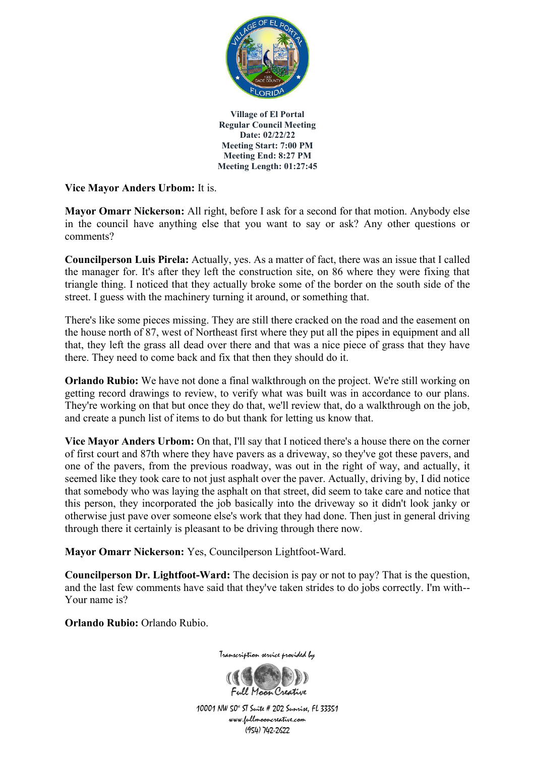

**Vice Mayor Anders Urbom:** It is.

**Mayor Omarr Nickerson:** All right, before I ask for a second for that motion. Anybody else in the council have anything else that you want to say or ask? Any other questions or comments?

**Councilperson Luis Pirela:** Actually, yes. As a matter of fact, there was an issue that I called the manager for. It's after they left the construction site, on 86 where they were fixing that triangle thing. I noticed that they actually broke some of the border on the south side of the street. I guess with the machinery turning it around, or something that.

There's like some pieces missing. They are still there cracked on the road and the easement on the house north of 87, west of Northeast first where they put all the pipes in equipment and all that, they left the grass all dead over there and that was a nice piece of grass that they have there. They need to come back and fix that then they should do it.

**Orlando Rubio:** We have not done a final walkthrough on the project. We're still working on getting record drawings to review, to verify what was built was in accordance to our plans. They're working on that but once they do that, we'll review that, do a walkthrough on the job, and create a punch list of items to do but thank for letting us know that.

**Vice Mayor Anders Urbom:** On that, I'll say that I noticed there's a house there on the corner of first court and 87th where they have pavers as a driveway, so they've got these pavers, and one of the pavers, from the previous roadway, was out in the right of way, and actually, it seemed like they took care to not just asphalt over the paver. Actually, driving by, I did notice that somebody who was laying the asphalt on that street, did seem to take care and notice that this person, they incorporated the job basically into the driveway so it didn't look janky or otherwise just pave over someone else's work that they had done. Then just in general driving through there it certainly is pleasant to be driving through there now.

**Mayor Omarr Nickerson:** Yes, Councilperson Lightfoot-Ward.

**Councilperson Dr. Lightfoot-Ward:** The decision is pay or not to pay? That is the question, and the last few comments have said that they've taken strides to do jobs correctly. I'm with-- Your name is?

**Orlando Rubio:** Orlando Rubio.



Transcription service provided by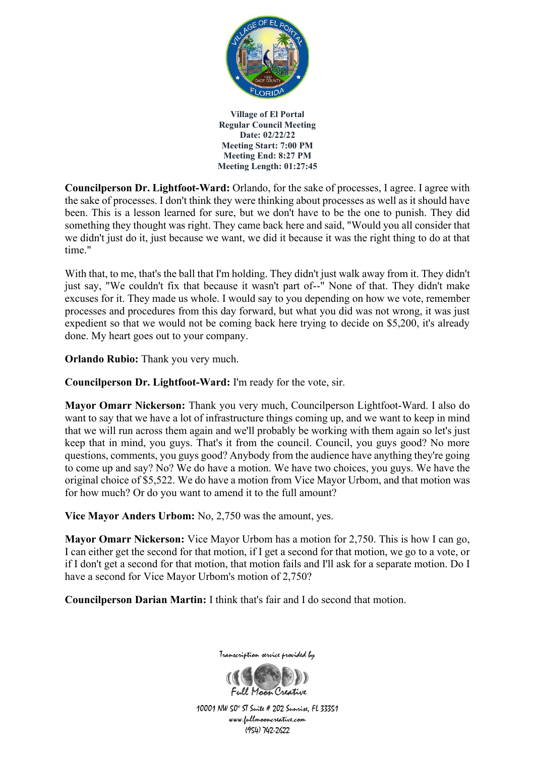

**Councilperson Dr. Lightfoot-Ward:** Orlando, for the sake of processes, I agree. I agree with the sake of processes. I don't think they were thinking about processes as well as it should have been. This is a lesson learned for sure, but we don't have to be the one to punish. They did something they thought was right. They came back here and said, "Would you all consider that we didn't just do it, just because we want, we did it because it was the right thing to do at that time."

With that, to me, that's the ball that I'm holding. They didn't just walk away from it. They didn't just say, "We couldn't fix that because it wasn't part of--" None of that. They didn't make excuses for it. They made us whole. I would say to you depending on how we vote, remember processes and procedures from this day forward, but what you did was not wrong, it was just expedient so that we would not be coming back here trying to decide on \$5,200, it's already done. My heart goes out to your company.

**Orlando Rubio:** Thank you very much.

**Councilperson Dr. Lightfoot-Ward:** I'm ready for the vote, sir.

**Mayor Omarr Nickerson:** Thank you very much, Councilperson Lightfoot-Ward. I also do want to say that we have a lot of infrastructure things coming up, and we want to keep in mind that we will run across them again and we'll probably be working with them again so let's just keep that in mind, you guys. That's it from the council. Council, you guys good? No more questions, comments, you guys good? Anybody from the audience have anything they're going to come up and say? No? We do have a motion. We have two choices, you guys. We have the original choice of \$5,522. We do have a motion from Vice Mayor Urbom, and that motion was for how much? Or do you want to amend it to the full amount?

**Vice Mayor Anders Urbom:** No, 2,750 was the amount, yes.

**Mayor Omarr Nickerson:** Vice Mayor Urbom has a motion for 2,750. This is how I can go, I can either get the second for that motion, if I get a second for that motion, we go to a vote, or if I don't get a second for that motion, that motion fails and I'll ask for a separate motion. Do I have a second for Vice Mayor Urbom's motion of 2,750?

**Councilperson Darian Martin:** I think that's fair and I do second that motion.



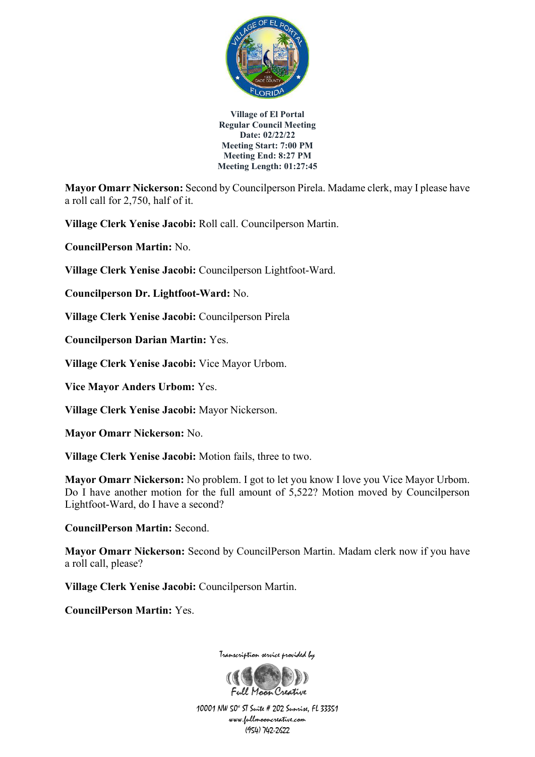

**Mayor Omarr Nickerson:** Second by Councilperson Pirela. Madame clerk, may I please have a roll call for 2,750, half of it.

**Village Clerk Yenise Jacobi:** Roll call. Councilperson Martin.

**CouncilPerson Martin:** No.

**Village Clerk Yenise Jacobi:** Councilperson Lightfoot-Ward.

**Councilperson Dr. Lightfoot-Ward:** No.

**Village Clerk Yenise Jacobi:** Councilperson Pirela

**Councilperson Darian Martin:** Yes.

**Village Clerk Yenise Jacobi:** Vice Mayor Urbom.

**Vice Mayor Anders Urbom:** Yes.

**Village Clerk Yenise Jacobi:** Mayor Nickerson.

**Mayor Omarr Nickerson:** No.

**Village Clerk Yenise Jacobi:** Motion fails, three to two.

**Mayor Omarr Nickerson:** No problem. I got to let you know I love you Vice Mayor Urbom. Do I have another motion for the full amount of 5,522? Motion moved by Councilperson Lightfoot-Ward, do I have a second?

**CouncilPerson Martin:** Second.

**Mayor Omarr Nickerson:** Second by CouncilPerson Martin. Madam clerk now if you have a roll call, please?

**Village Clerk Yenise Jacobi:** Councilperson Martin.

**CouncilPerson Martin:** Yes.

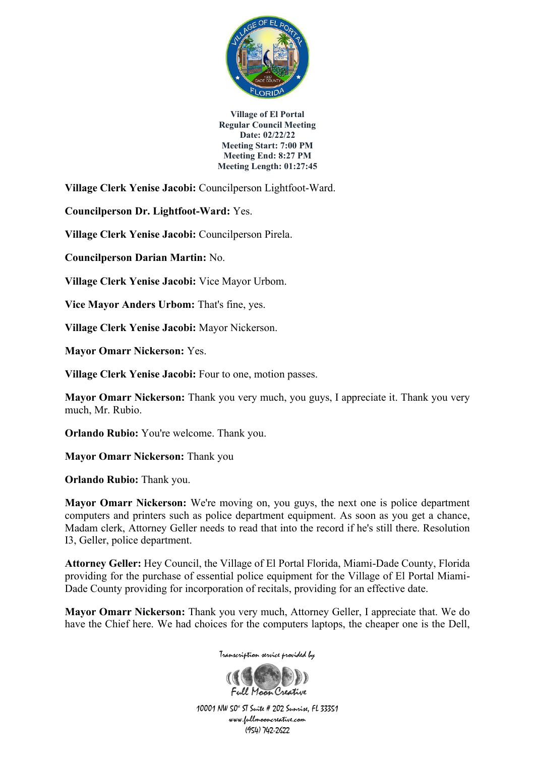

**Village Clerk Yenise Jacobi:** Councilperson Lightfoot-Ward.

**Councilperson Dr. Lightfoot-Ward:** Yes.

**Village Clerk Yenise Jacobi:** Councilperson Pirela.

**Councilperson Darian Martin:** No.

**Village Clerk Yenise Jacobi:** Vice Mayor Urbom.

**Vice Mayor Anders Urbom:** That's fine, yes.

**Village Clerk Yenise Jacobi:** Mayor Nickerson.

**Mayor Omarr Nickerson:** Yes.

**Village Clerk Yenise Jacobi:** Four to one, motion passes.

**Mayor Omarr Nickerson:** Thank you very much, you guys, I appreciate it. Thank you very much, Mr. Rubio.

**Orlando Rubio:** You're welcome. Thank you.

**Mayor Omarr Nickerson:** Thank you

**Orlando Rubio:** Thank you.

**Mayor Omarr Nickerson:** We're moving on, you guys, the next one is police department computers and printers such as police department equipment. As soon as you get a chance, Madam clerk, Attorney Geller needs to read that into the record if he's still there. Resolution I3, Geller, police department.

**Attorney Geller:** Hey Council, the Village of El Portal Florida, Miami-Dade County, Florida providing for the purchase of essential police equipment for the Village of El Portal Miami-Dade County providing for incorporation of recitals, providing for an effective date.

**Mayor Omarr Nickerson:** Thank you very much, Attorney Geller, I appreciate that. We do have the Chief here. We had choices for the computers laptops, the cheaper one is the Dell,



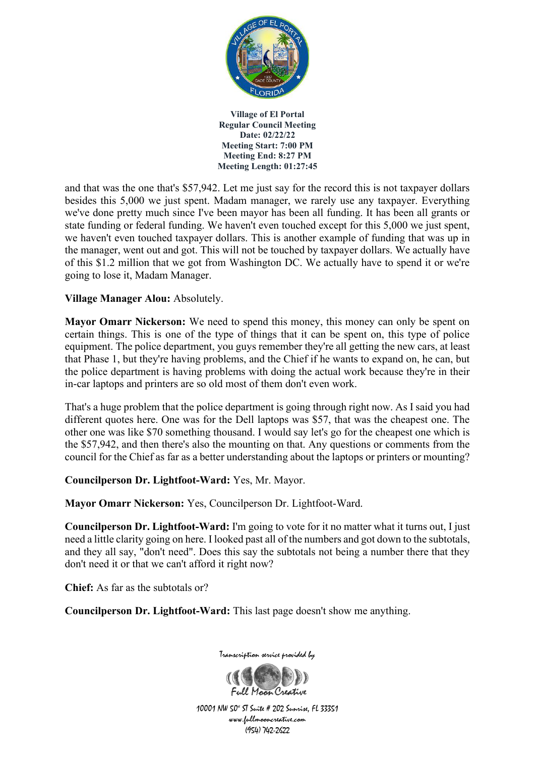

and that was the one that's \$57,942. Let me just say for the record this is not taxpayer dollars besides this 5,000 we just spent. Madam manager, we rarely use any taxpayer. Everything we've done pretty much since I've been mayor has been all funding. It has been all grants or state funding or federal funding. We haven't even touched except for this 5,000 we just spent, we haven't even touched taxpayer dollars. This is another example of funding that was up in the manager, went out and got. This will not be touched by taxpayer dollars. We actually have of this \$1.2 million that we got from Washington DC. We actually have to spend it or we're going to lose it, Madam Manager.

**Village Manager Alou:** Absolutely.

**Mayor Omarr Nickerson:** We need to spend this money, this money can only be spent on certain things. This is one of the type of things that it can be spent on, this type of police equipment. The police department, you guys remember they're all getting the new cars, at least that Phase 1, but they're having problems, and the Chief if he wants to expand on, he can, but the police department is having problems with doing the actual work because they're in their in-car laptops and printers are so old most of them don't even work.

That's a huge problem that the police department is going through right now. As I said you had different quotes here. One was for the Dell laptops was \$57, that was the cheapest one. The other one was like \$70 something thousand. I would say let's go for the cheapest one which is the \$57,942, and then there's also the mounting on that. Any questions or comments from the council for the Chief as far as a better understanding about the laptops or printers or mounting?

**Councilperson Dr. Lightfoot-Ward:** Yes, Mr. Mayor.

**Mayor Omarr Nickerson:** Yes, Councilperson Dr. Lightfoot-Ward.

**Councilperson Dr. Lightfoot-Ward:** I'm going to vote for it no matter what it turns out, I just need a little clarity going on here. I looked past all of the numbers and got down to the subtotals, and they all say, "don't need". Does this say the subtotals not being a number there that they don't need it or that we can't afford it right now?

**Chief:** As far as the subtotals or?

**Councilperson Dr. Lightfoot-Ward:** This last page doesn't show me anything.



Transcription service provided by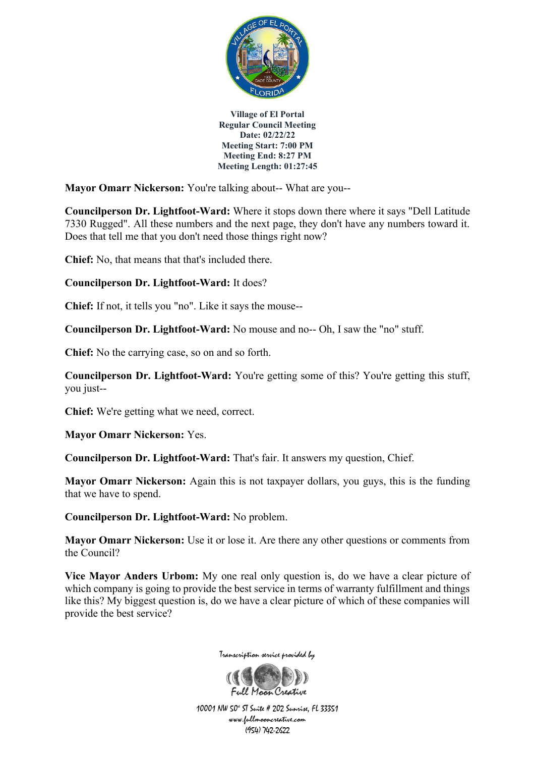

**Mayor Omarr Nickerson:** You're talking about-- What are you--

**Councilperson Dr. Lightfoot-Ward:** Where it stops down there where it says "Dell Latitude 7330 Rugged". All these numbers and the next page, they don't have any numbers toward it. Does that tell me that you don't need those things right now?

**Chief:** No, that means that that's included there.

### **Councilperson Dr. Lightfoot-Ward:** It does?

**Chief:** If not, it tells you "no". Like it says the mouse--

**Councilperson Dr. Lightfoot-Ward:** No mouse and no-- Oh, I saw the "no" stuff.

**Chief:** No the carrying case, so on and so forth.

**Councilperson Dr. Lightfoot-Ward:** You're getting some of this? You're getting this stuff, you just--

**Chief:** We're getting what we need, correct.

**Mayor Omarr Nickerson:** Yes.

**Councilperson Dr. Lightfoot-Ward:** That's fair. It answers my question, Chief.

**Mayor Omarr Nickerson:** Again this is not taxpayer dollars, you guys, this is the funding that we have to spend.

**Councilperson Dr. Lightfoot-Ward:** No problem.

**Mayor Omarr Nickerson:** Use it or lose it. Are there any other questions or comments from the Council?

**Vice Mayor Anders Urbom:** My one real only question is, do we have a clear picture of which company is going to provide the best service in terms of warranty fulfillment and things like this? My biggest question is, do we have a clear picture of which of these companies will provide the best service?



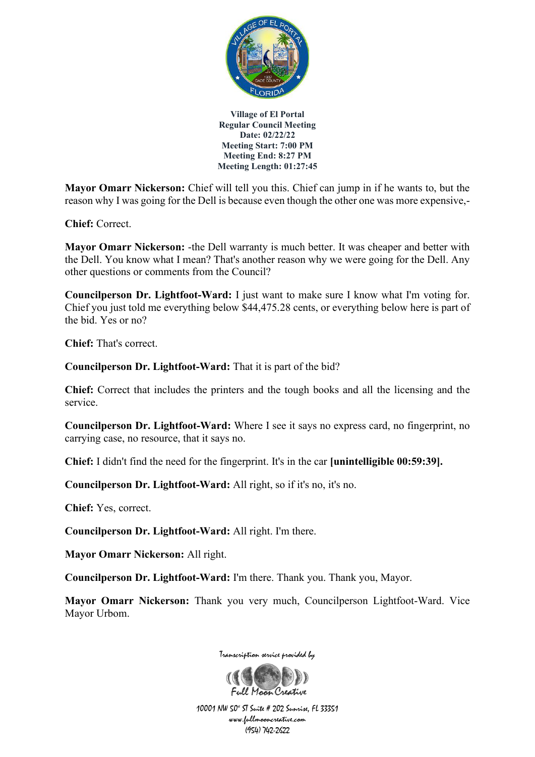

**Mayor Omarr Nickerson:** Chief will tell you this. Chief can jump in if he wants to, but the reason why I was going for the Dell is because even though the other one was more expensive,-

**Chief:** Correct.

**Mayor Omarr Nickerson:** -the Dell warranty is much better. It was cheaper and better with the Dell. You know what I mean? That's another reason why we were going for the Dell. Any other questions or comments from the Council?

**Councilperson Dr. Lightfoot-Ward:** I just want to make sure I know what I'm voting for. Chief you just told me everything below \$44,475.28 cents, or everything below here is part of the bid. Yes or no?

**Chief:** That's correct.

**Councilperson Dr. Lightfoot-Ward:** That it is part of the bid?

**Chief:** Correct that includes the printers and the tough books and all the licensing and the service.

**Councilperson Dr. Lightfoot-Ward:** Where I see it says no express card, no fingerprint, no carrying case, no resource, that it says no.

**Chief:** I didn't find the need for the fingerprint. It's in the car **[unintelligible 00:59:39].**

**Councilperson Dr. Lightfoot-Ward:** All right, so if it's no, it's no.

**Chief:** Yes, correct.

**Councilperson Dr. Lightfoot-Ward:** All right. I'm there.

**Mayor Omarr Nickerson:** All right.

**Councilperson Dr. Lightfoot-Ward:** I'm there. Thank you. Thank you, Mayor.

**Mayor Omarr Nickerson:** Thank you very much, Councilperson Lightfoot-Ward. Vice Mayor Urbom.



Transcription service provided by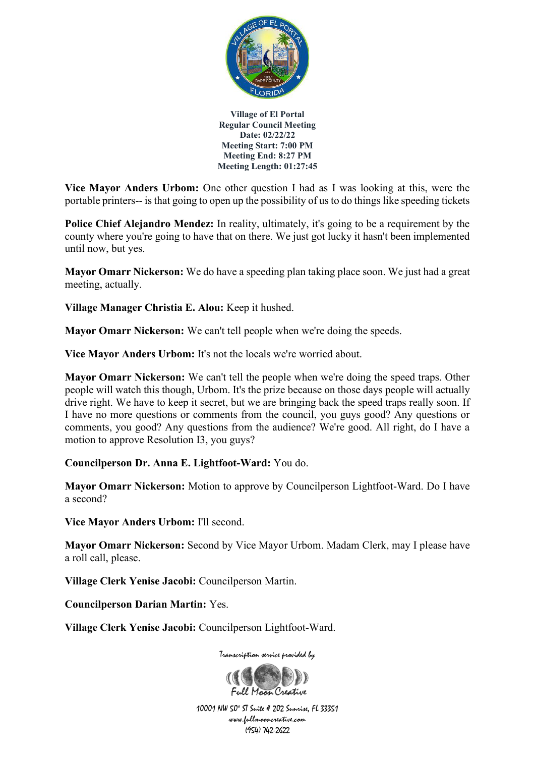

**Vice Mayor Anders Urbom:** One other question I had as I was looking at this, were the portable printers-- is that going to open up the possibility of us to do things like speeding tickets

**Police Chief Alejandro Mendez:** In reality, ultimately, it's going to be a requirement by the county where you're going to have that on there. We just got lucky it hasn't been implemented until now, but yes.

**Mayor Omarr Nickerson:** We do have a speeding plan taking place soon. We just had a great meeting, actually.

**Village Manager Christia E. Alou:** Keep it hushed.

**Mayor Omarr Nickerson:** We can't tell people when we're doing the speeds.

**Vice Mayor Anders Urbom:** It's not the locals we're worried about.

**Mayor Omarr Nickerson:** We can't tell the people when we're doing the speed traps. Other people will watch this though, Urbom. It's the prize because on those days people will actually drive right. We have to keep it secret, but we are bringing back the speed traps really soon. If I have no more questions or comments from the council, you guys good? Any questions or comments, you good? Any questions from the audience? We're good. All right, do I have a motion to approve Resolution I3, you guys?

**Councilperson Dr. Anna E. Lightfoot-Ward:** You do.

**Mayor Omarr Nickerson:** Motion to approve by Councilperson Lightfoot-Ward. Do I have a second?

**Vice Mayor Anders Urbom:** I'll second.

**Mayor Omarr Nickerson:** Second by Vice Mayor Urbom. Madam Clerk, may I please have a roll call, please.

**Village Clerk Yenise Jacobi:** Councilperson Martin.

**Councilperson Darian Martin:** Yes.

**Village Clerk Yenise Jacobi:** Councilperson Lightfoot-Ward.

Transcription service provided by

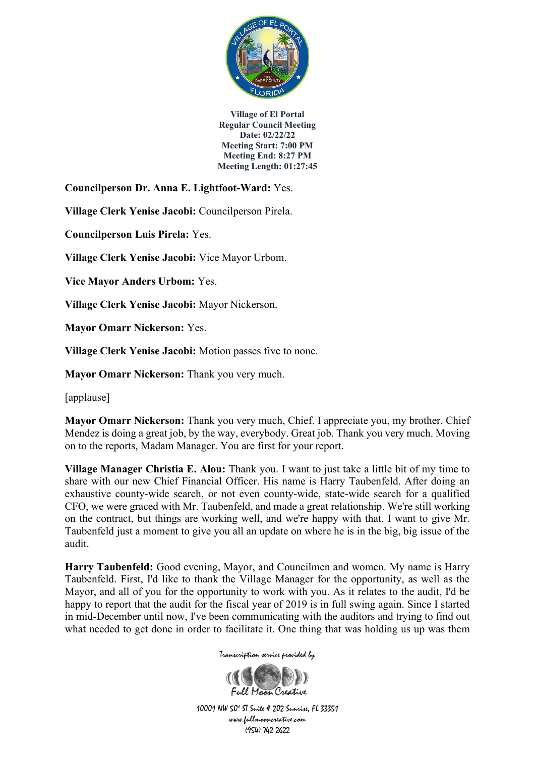

**Councilperson Dr. Anna E. Lightfoot-Ward:** Yes.

**Village Clerk Yenise Jacobi:** Councilperson Pirela.

**Councilperson Luis Pirela:** Yes.

**Village Clerk Yenise Jacobi:** Vice Mayor Urbom.

**Vice Mayor Anders Urbom:** Yes.

**Village Clerk Yenise Jacobi:** Mayor Nickerson.

**Mayor Omarr Nickerson:** Yes.

**Village Clerk Yenise Jacobi:** Motion passes five to none.

**Mayor Omarr Nickerson:** Thank you very much.

[applause]

**Mayor Omarr Nickerson:** Thank you very much, Chief. I appreciate you, my brother. Chief Mendez is doing a great job, by the way, everybody. Great job. Thank you very much. Moving on to the reports, Madam Manager. You are first for your report.

**Village Manager Christia E. Alou:** Thank you. I want to just take a little bit of my time to share with our new Chief Financial Officer. His name is Harry Taubenfeld. After doing an exhaustive county-wide search, or not even county-wide, state-wide search for a qualified CFO, we were graced with Mr. Taubenfeld, and made a great relationship. We're still working on the contract, but things are working well, and we're happy with that. I want to give Mr. Taubenfeld just a moment to give you all an update on where he is in the big, big issue of the audit.

**Harry Taubenfeld:** Good evening, Mayor, and Councilmen and women. My name is Harry Taubenfeld. First, I'd like to thank the Village Manager for the opportunity, as well as the Mayor, and all of you for the opportunity to work with you. As it relates to the audit, I'd be happy to report that the audit for the fiscal year of 2019 is in full swing again. Since I started in mid-December until now, I've been communicating with the auditors and trying to find out what needed to get done in order to facilitate it. One thing that was holding us up was them

Transcription service provided by

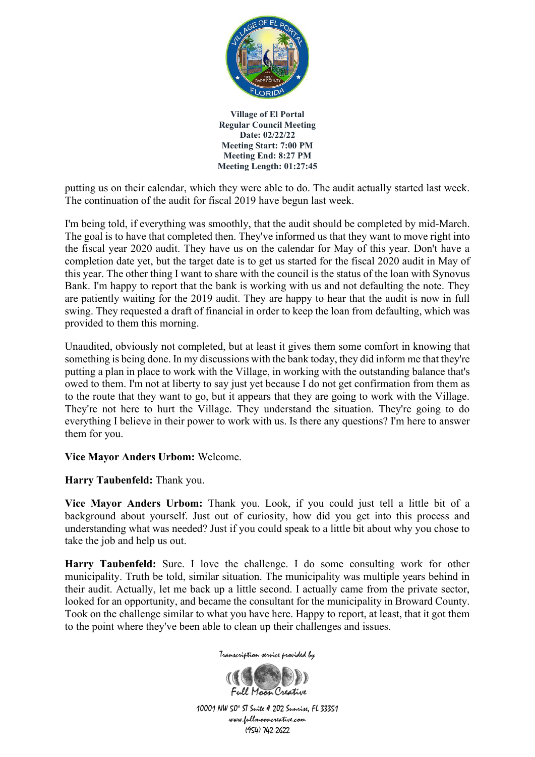

putting us on their calendar, which they were able to do. The audit actually started last week. The continuation of the audit for fiscal 2019 have begun last week.

I'm being told, if everything was smoothly, that the audit should be completed by mid-March. The goal is to have that completed then. They've informed us that they want to move right into the fiscal year 2020 audit. They have us on the calendar for May of this year. Don't have a completion date yet, but the target date is to get us started for the fiscal 2020 audit in May of this year. The other thing I want to share with the council is the status of the loan with Synovus Bank. I'm happy to report that the bank is working with us and not defaulting the note. They are patiently waiting for the 2019 audit. They are happy to hear that the audit is now in full swing. They requested a draft of financial in order to keep the loan from defaulting, which was provided to them this morning.

Unaudited, obviously not completed, but at least it gives them some comfort in knowing that something is being done. In my discussions with the bank today, they did inform me that they're putting a plan in place to work with the Village, in working with the outstanding balance that's owed to them. I'm not at liberty to say just yet because I do not get confirmation from them as to the route that they want to go, but it appears that they are going to work with the Village. They're not here to hurt the Village. They understand the situation. They're going to do everything I believe in their power to work with us. Is there any questions? I'm here to answer them for you.

## **Vice Mayor Anders Urbom:** Welcome.

**Harry Taubenfeld:** Thank you.

**Vice Mayor Anders Urbom:** Thank you. Look, if you could just tell a little bit of a background about yourself. Just out of curiosity, how did you get into this process and understanding what was needed? Just if you could speak to a little bit about why you chose to take the job and help us out.

**Harry Taubenfeld:** Sure. I love the challenge. I do some consulting work for other municipality. Truth be told, similar situation. The municipality was multiple years behind in their audit. Actually, let me back up a little second. I actually came from the private sector, looked for an opportunity, and became the consultant for the municipality in Broward County. Took on the challenge similar to what you have here. Happy to report, at least, that it got them to the point where they've been able to clean up their challenges and issues.



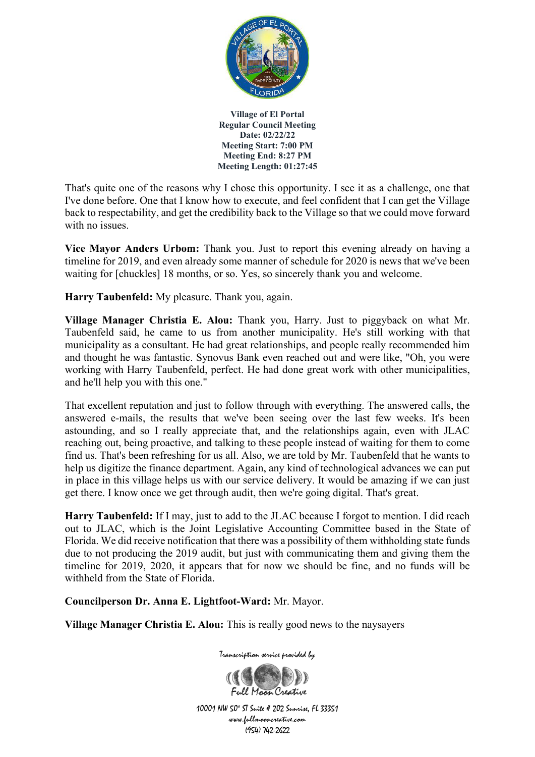

That's quite one of the reasons why I chose this opportunity. I see it as a challenge, one that I've done before. One that I know how to execute, and feel confident that I can get the Village back to respectability, and get the credibility back to the Village so that we could move forward with no issues.

**Vice Mayor Anders Urbom:** Thank you. Just to report this evening already on having a timeline for 2019, and even already some manner of schedule for 2020 is news that we've been waiting for [chuckles] 18 months, or so. Yes, so sincerely thank you and welcome.

**Harry Taubenfeld:** My pleasure. Thank you, again.

**Village Manager Christia E. Alou:** Thank you, Harry. Just to piggyback on what Mr. Taubenfeld said, he came to us from another municipality. He's still working with that municipality as a consultant. He had great relationships, and people really recommended him and thought he was fantastic. Synovus Bank even reached out and were like, "Oh, you were working with Harry Taubenfeld, perfect. He had done great work with other municipalities, and he'll help you with this one."

That excellent reputation and just to follow through with everything. The answered calls, the answered e-mails, the results that we've been seeing over the last few weeks. It's been astounding, and so I really appreciate that, and the relationships again, even with JLAC reaching out, being proactive, and talking to these people instead of waiting for them to come find us. That's been refreshing for us all. Also, we are told by Mr. Taubenfeld that he wants to help us digitize the finance department. Again, any kind of technological advances we can put in place in this village helps us with our service delivery. It would be amazing if we can just get there. I know once we get through audit, then we're going digital. That's great.

**Harry Taubenfeld:** If I may, just to add to the JLAC because I forgot to mention. I did reach out to JLAC, which is the Joint Legislative Accounting Committee based in the State of Florida. We did receive notification that there was a possibility of them withholding state funds due to not producing the 2019 audit, but just with communicating them and giving them the timeline for 2019, 2020, it appears that for now we should be fine, and no funds will be withheld from the State of Florida.

**Councilperson Dr. Anna E. Lightfoot-Ward:** Mr. Mayor.

**Village Manager Christia E. Alou:** This is really good news to the naysayers

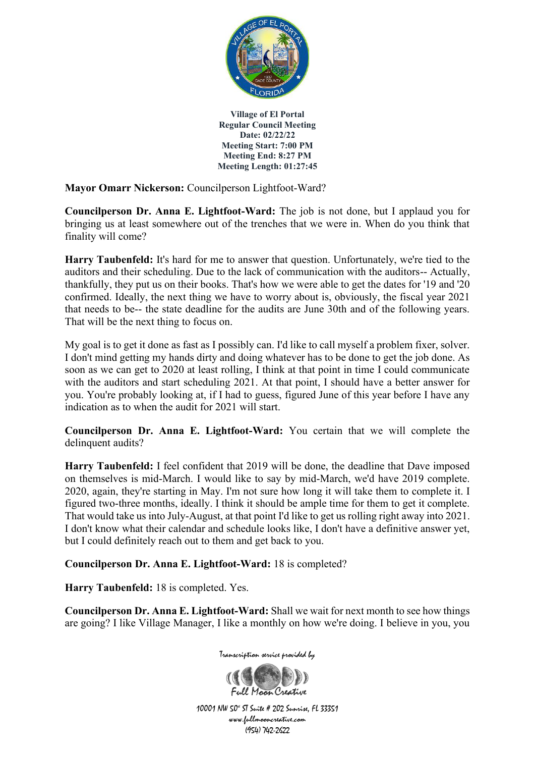

**Mayor Omarr Nickerson:** Councilperson Lightfoot-Ward?

**Councilperson Dr. Anna E. Lightfoot-Ward:** The job is not done, but I applaud you for bringing us at least somewhere out of the trenches that we were in. When do you think that finality will come?

**Harry Taubenfeld:** It's hard for me to answer that question. Unfortunately, we're tied to the auditors and their scheduling. Due to the lack of communication with the auditors-- Actually, thankfully, they put us on their books. That's how we were able to get the dates for '19 and '20 confirmed. Ideally, the next thing we have to worry about is, obviously, the fiscal year 2021 that needs to be-- the state deadline for the audits are June 30th and of the following years. That will be the next thing to focus on.

My goal is to get it done as fast as I possibly can. I'd like to call myself a problem fixer, solver. I don't mind getting my hands dirty and doing whatever has to be done to get the job done. As soon as we can get to 2020 at least rolling, I think at that point in time I could communicate with the auditors and start scheduling 2021. At that point, I should have a better answer for you. You're probably looking at, if I had to guess, figured June of this year before I have any indication as to when the audit for 2021 will start.

**Councilperson Dr. Anna E. Lightfoot-Ward:** You certain that we will complete the delinquent audits?

**Harry Taubenfeld:** I feel confident that 2019 will be done, the deadline that Dave imposed on themselves is mid-March. I would like to say by mid-March, we'd have 2019 complete. 2020, again, they're starting in May. I'm not sure how long it will take them to complete it. I figured two-three months, ideally. I think it should be ample time for them to get it complete. That would take us into July-August, at that point I'd like to get us rolling right away into 2021. I don't know what their calendar and schedule looks like, I don't have a definitive answer yet, but I could definitely reach out to them and get back to you.

**Councilperson Dr. Anna E. Lightfoot-Ward:** 18 is completed?

**Harry Taubenfeld:** 18 is completed. Yes.

**Councilperson Dr. Anna E. Lightfoot-Ward:** Shall we wait for next month to see how things are going? I like Village Manager, I like a monthly on how we're doing. I believe in you, you



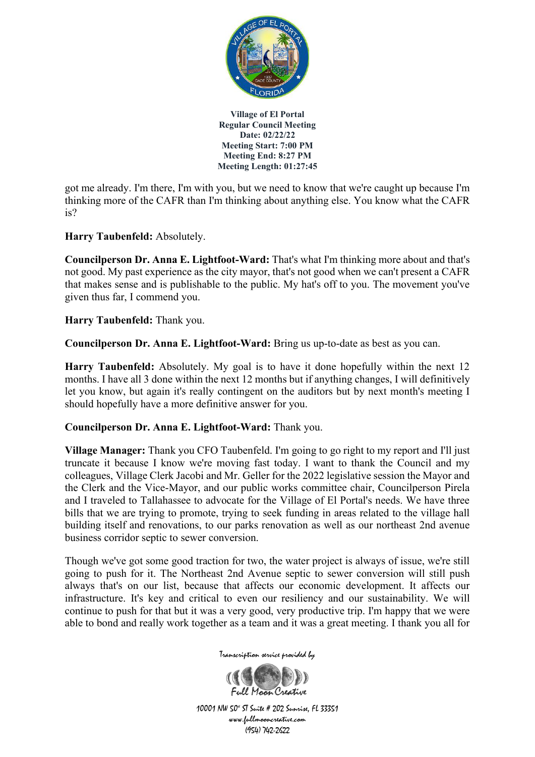

got me already. I'm there, I'm with you, but we need to know that we're caught up because I'm thinking more of the CAFR than I'm thinking about anything else. You know what the CAFR is?

## **Harry Taubenfeld:** Absolutely.

**Councilperson Dr. Anna E. Lightfoot-Ward:** That's what I'm thinking more about and that's not good. My past experience as the city mayor, that's not good when we can't present a CAFR that makes sense and is publishable to the public. My hat's off to you. The movement you've given thus far, I commend you.

### **Harry Taubenfeld:** Thank you.

**Councilperson Dr. Anna E. Lightfoot-Ward:** Bring us up-to-date as best as you can.

**Harry Taubenfeld:** Absolutely. My goal is to have it done hopefully within the next 12 months. I have all 3 done within the next 12 months but if anything changes, I will definitively let you know, but again it's really contingent on the auditors but by next month's meeting I should hopefully have a more definitive answer for you.

#### **Councilperson Dr. Anna E. Lightfoot-Ward:** Thank you.

**Village Manager:** Thank you CFO Taubenfeld. I'm going to go right to my report and I'll just truncate it because I know we're moving fast today. I want to thank the Council and my colleagues, Village Clerk Jacobi and Mr. Geller for the 2022 legislative session the Mayor and the Clerk and the Vice-Mayor, and our public works committee chair, Councilperson Pirela and I traveled to Tallahassee to advocate for the Village of El Portal's needs. We have three bills that we are trying to promote, trying to seek funding in areas related to the village hall building itself and renovations, to our parks renovation as well as our northeast 2nd avenue business corridor septic to sewer conversion.

Though we've got some good traction for two, the water project is always of issue, we're still going to push for it. The Northeast 2nd Avenue septic to sewer conversion will still push always that's on our list, because that affects our economic development. It affects our infrastructure. It's key and critical to even our resiliency and our sustainability. We will continue to push for that but it was a very good, very productive trip. I'm happy that we were able to bond and really work together as a team and it was a great meeting. I thank you all for



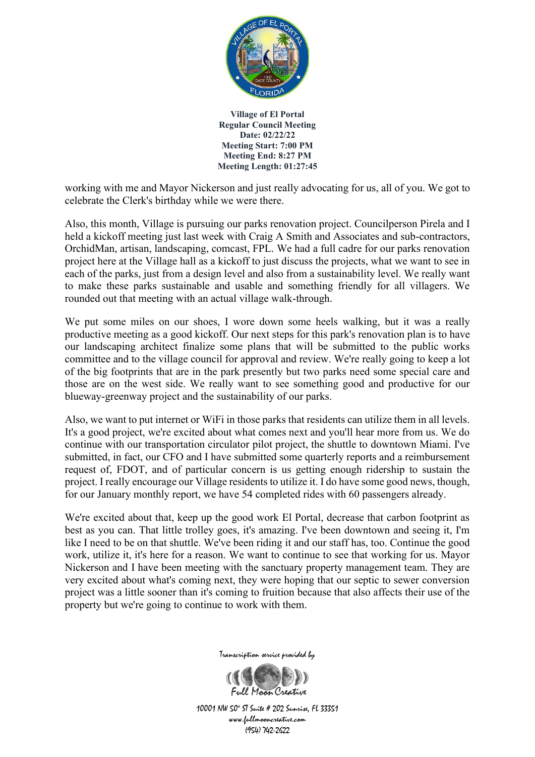

working with me and Mayor Nickerson and just really advocating for us, all of you. We got to celebrate the Clerk's birthday while we were there.

Also, this month, Village is pursuing our parks renovation project. Councilperson Pirela and I held a kickoff meeting just last week with Craig A Smith and Associates and sub-contractors, OrchidMan, artisan, landscaping, comcast, FPL. We had a full cadre for our parks renovation project here at the Village hall as a kickoff to just discuss the projects, what we want to see in each of the parks, just from a design level and also from a sustainability level. We really want to make these parks sustainable and usable and something friendly for all villagers. We rounded out that meeting with an actual village walk-through.

We put some miles on our shoes, I wore down some heels walking, but it was a really productive meeting as a good kickoff. Our next steps for this park's renovation plan is to have our landscaping architect finalize some plans that will be submitted to the public works committee and to the village council for approval and review. We're really going to keep a lot of the big footprints that are in the park presently but two parks need some special care and those are on the west side. We really want to see something good and productive for our blueway-greenway project and the sustainability of our parks.

Also, we want to put internet or WiFi in those parks that residents can utilize them in all levels. It's a good project, we're excited about what comes next and you'll hear more from us. We do continue with our transportation circulator pilot project, the shuttle to downtown Miami. I've submitted, in fact, our CFO and I have submitted some quarterly reports and a reimbursement request of, FDOT, and of particular concern is us getting enough ridership to sustain the project. I really encourage our Village residents to utilize it. I do have some good news, though, for our January monthly report, we have 54 completed rides with 60 passengers already.

We're excited about that, keep up the good work El Portal, decrease that carbon footprint as best as you can. That little trolley goes, it's amazing. I've been downtown and seeing it, I'm like I need to be on that shuttle. We've been riding it and our staff has, too. Continue the good work, utilize it, it's here for a reason. We want to continue to see that working for us. Mayor Nickerson and I have been meeting with the sanctuary property management team. They are very excited about what's coming next, they were hoping that our septic to sewer conversion project was a little sooner than it's coming to fruition because that also affects their use of the property but we're going to continue to work with them.



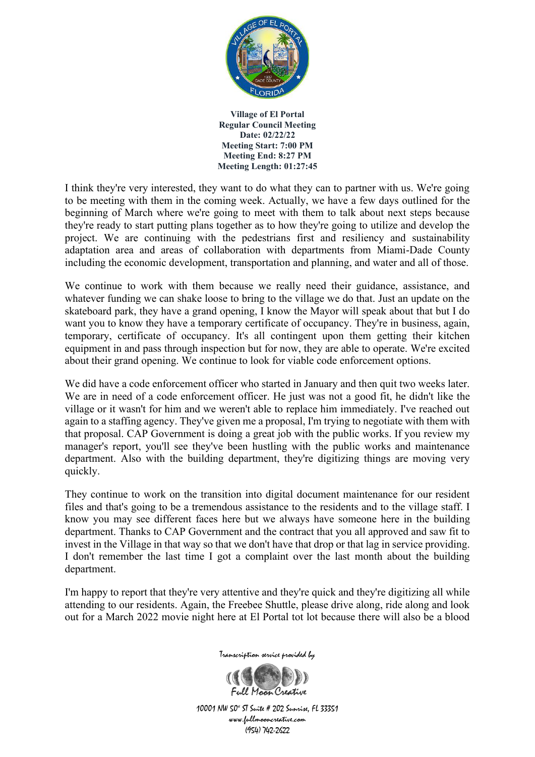

I think they're very interested, they want to do what they can to partner with us. We're going to be meeting with them in the coming week. Actually, we have a few days outlined for the beginning of March where we're going to meet with them to talk about next steps because they're ready to start putting plans together as to how they're going to utilize and develop the project. We are continuing with the pedestrians first and resiliency and sustainability adaptation area and areas of collaboration with departments from Miami-Dade County including the economic development, transportation and planning, and water and all of those.

We continue to work with them because we really need their guidance, assistance, and whatever funding we can shake loose to bring to the village we do that. Just an update on the skateboard park, they have a grand opening, I know the Mayor will speak about that but I do want you to know they have a temporary certificate of occupancy. They're in business, again, temporary, certificate of occupancy. It's all contingent upon them getting their kitchen equipment in and pass through inspection but for now, they are able to operate. We're excited about their grand opening. We continue to look for viable code enforcement options.

We did have a code enforcement officer who started in January and then quit two weeks later. We are in need of a code enforcement officer. He just was not a good fit, he didn't like the village or it wasn't for him and we weren't able to replace him immediately. I've reached out again to a staffing agency. They've given me a proposal, I'm trying to negotiate with them with that proposal. CAP Government is doing a great job with the public works. If you review my manager's report, you'll see they've been hustling with the public works and maintenance department. Also with the building department, they're digitizing things are moving very quickly.

They continue to work on the transition into digital document maintenance for our resident files and that's going to be a tremendous assistance to the residents and to the village staff. I know you may see different faces here but we always have someone here in the building department. Thanks to CAP Government and the contract that you all approved and saw fit to invest in the Village in that way so that we don't have that drop or that lag in service providing. I don't remember the last time I got a complaint over the last month about the building department.

I'm happy to report that they're very attentive and they're quick and they're digitizing all while attending to our residents. Again, the Freebee Shuttle, please drive along, ride along and look out for a March 2022 movie night here at El Portal tot lot because there will also be a blood



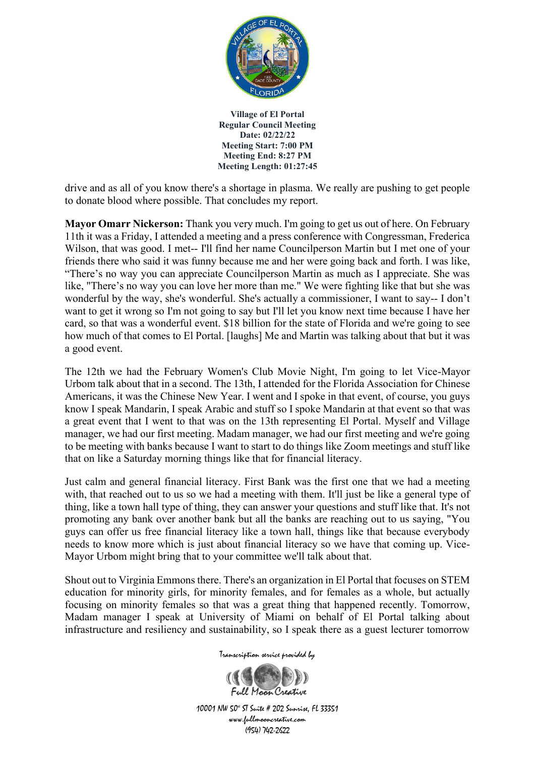

drive and as all of you know there's a shortage in plasma. We really are pushing to get people to donate blood where possible. That concludes my report.

**Mayor Omarr Nickerson:** Thank you very much. I'm going to get us out of here. On February 11th it was a Friday, I attended a meeting and a press conference with Congressman, Frederica Wilson, that was good. I met-- I'll find her name Councilperson Martin but I met one of your friends there who said it was funny because me and her were going back and forth. I was like, "There's no way you can appreciate Councilperson Martin as much as I appreciate. She was like, "There's no way you can love her more than me." We were fighting like that but she was wonderful by the way, she's wonderful. She's actually a commissioner, I want to say-- I don't want to get it wrong so I'm not going to say but I'll let you know next time because I have her card, so that was a wonderful event. \$18 billion for the state of Florida and we're going to see how much of that comes to El Portal. [laughs] Me and Martin was talking about that but it was a good event.

The 12th we had the February Women's Club Movie Night, I'm going to let Vice-Mayor Urbom talk about that in a second. The 13th, I attended for the Florida Association for Chinese Americans, it was the Chinese New Year. I went and I spoke in that event, of course, you guys know I speak Mandarin, I speak Arabic and stuff so I spoke Mandarin at that event so that was a great event that I went to that was on the 13th representing El Portal. Myself and Village manager, we had our first meeting. Madam manager, we had our first meeting and we're going to be meeting with banks because I want to start to do things like Zoom meetings and stuff like that on like a Saturday morning things like that for financial literacy.

Just calm and general financial literacy. First Bank was the first one that we had a meeting with, that reached out to us so we had a meeting with them. It'll just be like a general type of thing, like a town hall type of thing, they can answer your questions and stuff like that. It's not promoting any bank over another bank but all the banks are reaching out to us saying, "You guys can offer us free financial literacy like a town hall, things like that because everybody needs to know more which is just about financial literacy so we have that coming up. Vice-Mayor Urbom might bring that to your committee we'll talk about that.

Shout out to Virginia Emmons there. There's an organization in El Portal that focuses on STEM education for minority girls, for minority females, and for females as a whole, but actually focusing on minority females so that was a great thing that happened recently. Tomorrow, Madam manager I speak at University of Miami on behalf of El Portal talking about infrastructure and resiliency and sustainability, so I speak there as a guest lecturer tomorrow

Transcription service provided by

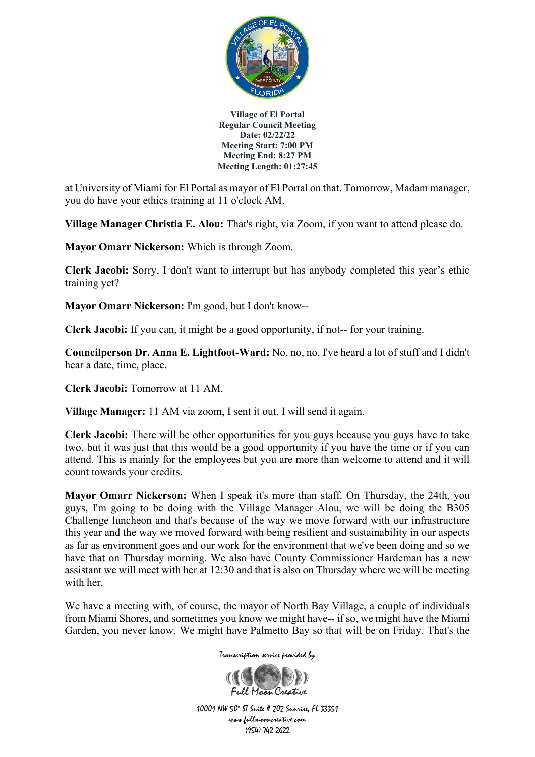

at University of Miami for El Portal as mayor of El Portal on that. Tomorrow, Madam manager, you do have your ethics training at 11 o'clock AM.

**Village Manager Christia E. Alou:** That's right, via Zoom, if you want to attend please do.

**Mayor Omarr Nickerson:** Which is through Zoom.

**Clerk Jacobi:** Sorry, I don't want to interrupt but has anybody completed this year's ethic training yet?

**Mayor Omarr Nickerson:** I'm good, but I don't know--

**Clerk Jacobi:** If you can, it might be a good opportunity, if not-- for your training.

**Councilperson Dr. Anna E. Lightfoot-Ward:** No, no, no, I've heard a lot of stuff and I didn't hear a date, time, place.

**Clerk Jacobi:** Tomorrow at 11 AM.

**Village Manager:** 11 AM via zoom, I sent it out, I will send it again.

**Clerk Jacobi:** There will be other opportunities for you guys because you guys have to take two, but it was just that this would be a good opportunity if you have the time or if you can attend. This is mainly for the employees but you are more than welcome to attend and it will count towards your credits.

**Mayor Omarr Nickerson:** When I speak it's more than staff. On Thursday, the 24th, you guys, I'm going to be doing with the Village Manager Alou, we will be doing the B305 Challenge luncheon and that's because of the way we move forward with our infrastructure this year and the way we moved forward with being resilient and sustainability in our aspects as far as environment goes and our work for the environment that we've been doing and so we have that on Thursday morning. We also have County Commissioner Hardeman has a new assistant we will meet with her at 12:30 and that is also on Thursday where we will be meeting with her.

We have a meeting with, of course, the mayor of North Bay Village, a couple of individuals from Miami Shores, and sometimes you know we might have-- if so, we might have the Miami Garden, you never know. We might have Palmetto Bay so that will be on Friday. That's the

Transcription service provided by

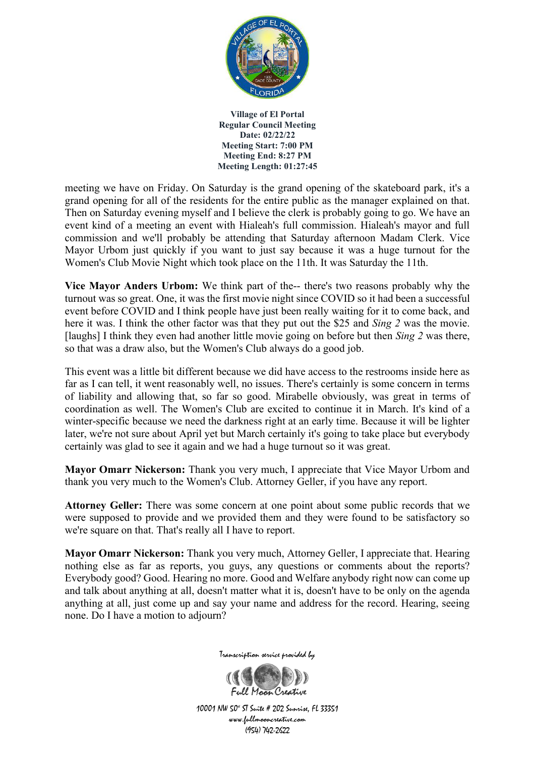

meeting we have on Friday. On Saturday is the grand opening of the skateboard park, it's a grand opening for all of the residents for the entire public as the manager explained on that. Then on Saturday evening myself and I believe the clerk is probably going to go. We have an event kind of a meeting an event with Hialeah's full commission. Hialeah's mayor and full commission and we'll probably be attending that Saturday afternoon Madam Clerk. Vice Mayor Urbom just quickly if you want to just say because it was a huge turnout for the Women's Club Movie Night which took place on the 11th. It was Saturday the 11th.

**Vice Mayor Anders Urbom:** We think part of the-- there's two reasons probably why the turnout was so great. One, it was the first movie night since COVID so it had been a successful event before COVID and I think people have just been really waiting for it to come back, and here it was. I think the other factor was that they put out the \$25 and *Sing 2* was the movie. [laughs] I think they even had another little movie going on before but then *Sing 2* was there, so that was a draw also, but the Women's Club always do a good job.

This event was a little bit different because we did have access to the restrooms inside here as far as I can tell, it went reasonably well, no issues. There's certainly is some concern in terms of liability and allowing that, so far so good. Mirabelle obviously, was great in terms of coordination as well. The Women's Club are excited to continue it in March. It's kind of a winter-specific because we need the darkness right at an early time. Because it will be lighter later, we're not sure about April yet but March certainly it's going to take place but everybody certainly was glad to see it again and we had a huge turnout so it was great.

**Mayor Omarr Nickerson:** Thank you very much, I appreciate that Vice Mayor Urbom and thank you very much to the Women's Club. Attorney Geller, if you have any report.

**Attorney Geller:** There was some concern at one point about some public records that we were supposed to provide and we provided them and they were found to be satisfactory so we're square on that. That's really all I have to report.

**Mayor Omarr Nickerson:** Thank you very much, Attorney Geller, I appreciate that. Hearing nothing else as far as reports, you guys, any questions or comments about the reports? Everybody good? Good. Hearing no more. Good and Welfare anybody right now can come up and talk about anything at all, doesn't matter what it is, doesn't have to be only on the agenda anything at all, just come up and say your name and address for the record. Hearing, seeing none. Do I have a motion to adjourn?